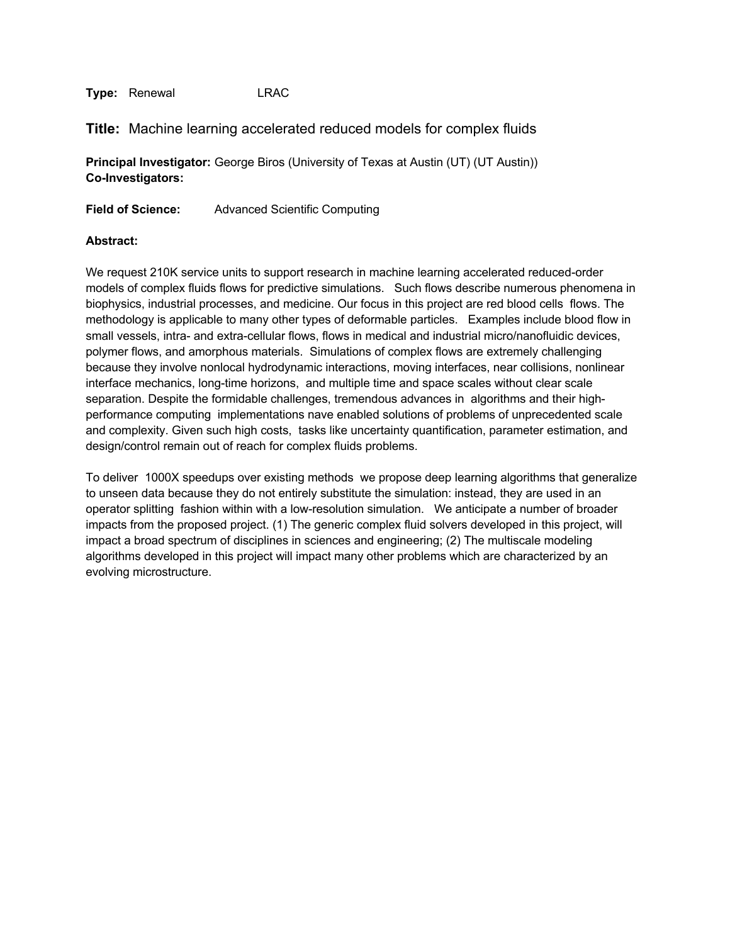**Title:** Machine learning accelerated reduced models for complex fluids

**Principal Investigator:** George Biros (University of Texas at Austin (UT) (UT Austin)) **Co-Investigators:**

**Field of Science:** Advanced Scientific Computing

#### **Abstract:**

We request 210K service units to support research in machine learning accelerated reduced-order models of complex fluids flows for predictive simulations. Such flows describe numerous phenomena in biophysics, industrial processes, and medicine. Our focus in this project are red blood cells flows. The methodology is applicable to many other types of deformable particles. Examples include blood flow in small vessels, intra- and extra-cellular flows, flows in medical and industrial micro/nanofluidic devices, polymer flows, and amorphous materials. Simulations of complex flows are extremely challenging because they involve nonlocal hydrodynamic interactions, moving interfaces, near collisions, nonlinear interface mechanics, long-time horizons, and multiple time and space scales without clear scale separation. Despite the formidable challenges, tremendous advances in algorithms and their highperformance computing implementations nave enabled solutions of problems of unprecedented scale and complexity. Given such high costs, tasks like uncertainty quantification, parameter estimation, and design/control remain out of reach for complex fluids problems.

To deliver 1000X speedups over existing methods we propose deep learning algorithms that generalize to unseen data because they do not entirely substitute the simulation: instead, they are used in an operator splitting fashion within with a low-resolution simulation. We anticipate a number of broader impacts from the proposed project. (1) The generic complex fluid solvers developed in this project, will impact a broad spectrum of disciplines in sciences and engineering; (2) The multiscale modeling algorithms developed in this project will impact many other problems which are characterized by an evolving microstructure.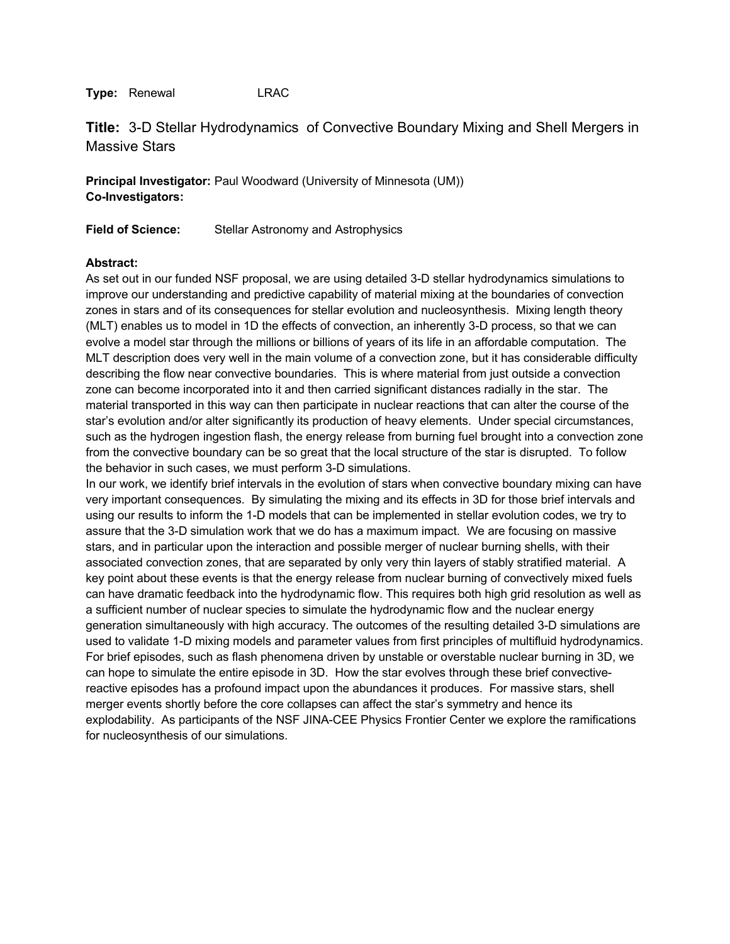**Title:** 3-D Stellar Hydrodynamics of Convective Boundary Mixing and Shell Mergers in Massive Stars

**Principal Investigator:** Paul Woodward (University of Minnesota (UM)) **Co-Investigators:**

**Field of Science:** Stellar Astronomy and Astrophysics

## **Abstract:**

As set out in our funded NSF proposal, we are using detailed 3-D stellar hydrodynamics simulations to improve our understanding and predictive capability of material mixing at the boundaries of convection zones in stars and of its consequences for stellar evolution and nucleosynthesis. Mixing length theory (MLT) enables us to model in 1D the effects of convection, an inherently 3-D process, so that we can evolve a model star through the millions or billions of years of its life in an affordable computation. The MLT description does very well in the main volume of a convection zone, but it has considerable difficulty describing the flow near convective boundaries. This is where material from just outside a convection zone can become incorporated into it and then carried significant distances radially in the star. The material transported in this way can then participate in nuclear reactions that can alter the course of the star's evolution and/or alter significantly its production of heavy elements. Under special circumstances, such as the hydrogen ingestion flash, the energy release from burning fuel brought into a convection zone from the convective boundary can be so great that the local structure of the star is disrupted. To follow the behavior in such cases, we must perform 3-D simulations.

In our work, we identify brief intervals in the evolution of stars when convective boundary mixing can have very important consequences. By simulating the mixing and its effects in 3D for those brief intervals and using our results to inform the 1-D models that can be implemented in stellar evolution codes, we try to assure that the 3-D simulation work that we do has a maximum impact. We are focusing on massive stars, and in particular upon the interaction and possible merger of nuclear burning shells, with their associated convection zones, that are separated by only very thin layers of stably stratified material. A key point about these events is that the energy release from nuclear burning of convectively mixed fuels can have dramatic feedback into the hydrodynamic flow. This requires both high grid resolution as well as a sufficient number of nuclear species to simulate the hydrodynamic flow and the nuclear energy generation simultaneously with high accuracy. The outcomes of the resulting detailed 3-D simulations are used to validate 1-D mixing models and parameter values from first principles of multifluid hydrodynamics. For brief episodes, such as flash phenomena driven by unstable or overstable nuclear burning in 3D, we can hope to simulate the entire episode in 3D. How the star evolves through these brief convectivereactive episodes has a profound impact upon the abundances it produces. For massive stars, shell merger events shortly before the core collapses can affect the star's symmetry and hence its explodability. As participants of the NSF JINA-CEE Physics Frontier Center we explore the ramifications for nucleosynthesis of our simulations.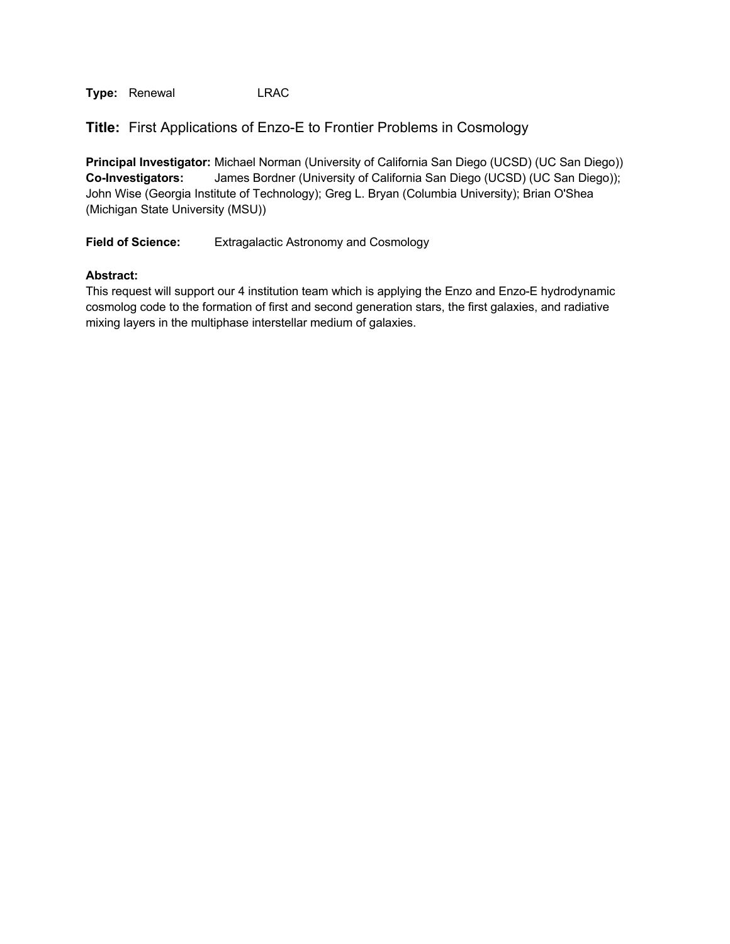**Title:** First Applications of Enzo-E to Frontier Problems in Cosmology

**Principal Investigator:** Michael Norman (University of California San Diego (UCSD) (UC San Diego)) **Co-Investigators:** James Bordner (University of California San Diego (UCSD) (UC San Diego)); John Wise (Georgia Institute of Technology); Greg L. Bryan (Columbia University); Brian O'Shea (Michigan State University (MSU))

**Field of Science:** Extragalactic Astronomy and Cosmology

## **Abstract:**

This request will support our 4 institution team which is applying the Enzo and Enzo-E hydrodynamic cosmolog code to the formation of first and second generation stars, the first galaxies, and radiative mixing layers in the multiphase interstellar medium of galaxies.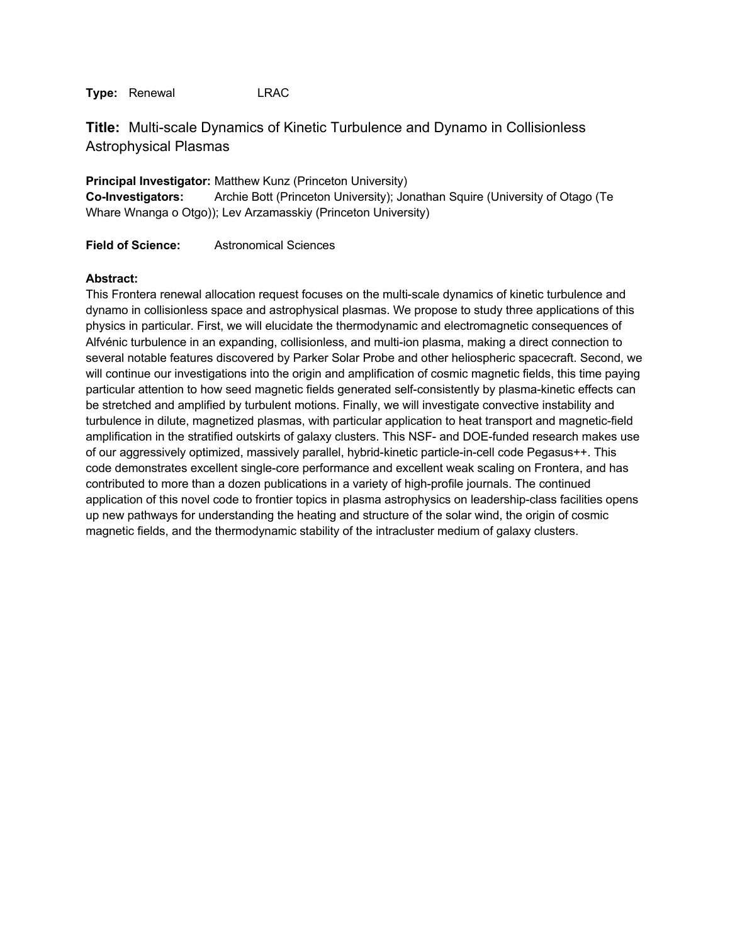**Title:** Multi-scale Dynamics of Kinetic Turbulence and Dynamo in Collisionless Astrophysical Plasmas

**Principal Investigator:** Matthew Kunz (Princeton University) **Co-Investigators:** Archie Bott (Princeton University); Jonathan Squire (University of Otago (Te Whare Wnanga o Otgo)); Lev Arzamasskiy (Princeton University)

**Field of Science:** Astronomical Sciences

#### **Abstract:**

This Frontera renewal allocation request focuses on the multi-scale dynamics of kinetic turbulence and dynamo in collisionless space and astrophysical plasmas. We propose to study three applications of this physics in particular. First, we will elucidate the thermodynamic and electromagnetic consequences of Alfvénic turbulence in an expanding, collisionless, and multi-ion plasma, making a direct connection to several notable features discovered by Parker Solar Probe and other heliospheric spacecraft. Second, we will continue our investigations into the origin and amplification of cosmic magnetic fields, this time paying particular attention to how seed magnetic fields generated self-consistently by plasma-kinetic effects can be stretched and amplified by turbulent motions. Finally, we will investigate convective instability and turbulence in dilute, magnetized plasmas, with particular application to heat transport and magnetic-field amplification in the stratified outskirts of galaxy clusters. This NSF- and DOE-funded research makes use of our aggressively optimized, massively parallel, hybrid-kinetic particle-in-cell code Pegasus++. This code demonstrates excellent single-core performance and excellent weak scaling on Frontera, and has contributed to more than a dozen publications in a variety of high-profile journals. The continued application of this novel code to frontier topics in plasma astrophysics on leadership-class facilities opens up new pathways for understanding the heating and structure of the solar wind, the origin of cosmic magnetic fields, and the thermodynamic stability of the intracluster medium of galaxy clusters.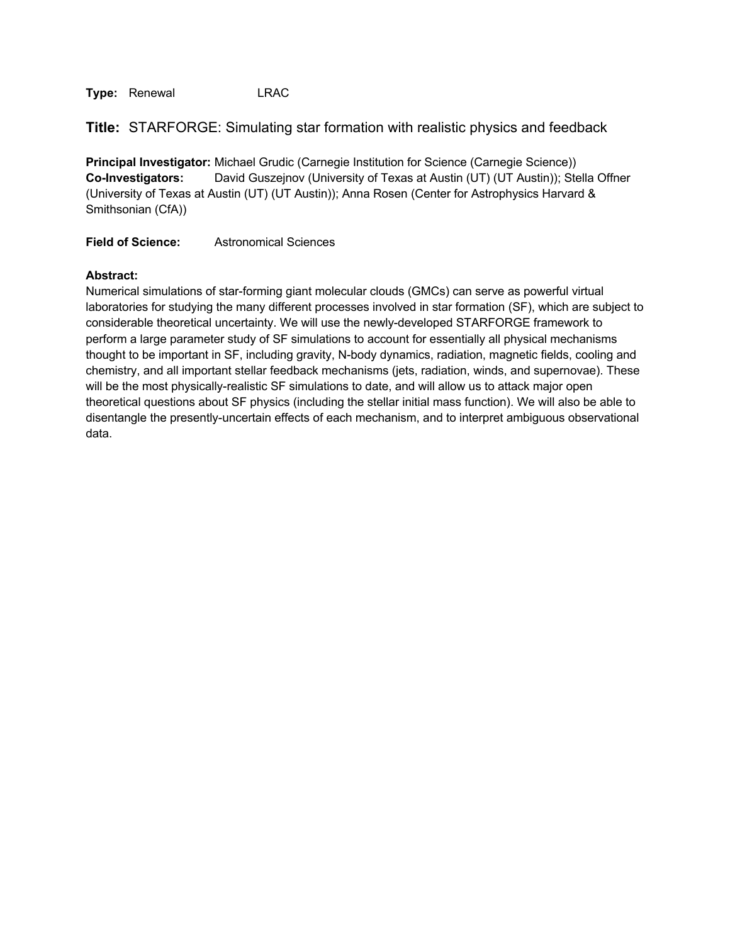|  | Title: STARFORGE: Simulating star formation with realistic physics and feedback |  |  |  |
|--|---------------------------------------------------------------------------------|--|--|--|
|--|---------------------------------------------------------------------------------|--|--|--|

**Principal Investigator:** Michael Grudic (Carnegie Institution for Science (Carnegie Science)) **Co-Investigators:** David Guszejnov (University of Texas at Austin (UT) (UT Austin)); Stella Offner (University of Texas at Austin (UT) (UT Austin)); Anna Rosen (Center for Astrophysics Harvard & Smithsonian (CfA))

**Field of Science:** Astronomical Sciences

## **Abstract:**

Numerical simulations of star-forming giant molecular clouds (GMCs) can serve as powerful virtual laboratories for studying the many different processes involved in star formation (SF), which are subject to considerable theoretical uncertainty. We will use the newly-developed STARFORGE framework to perform a large parameter study of SF simulations to account for essentially all physical mechanisms thought to be important in SF, including gravity, N-body dynamics, radiation, magnetic fields, cooling and chemistry, and all important stellar feedback mechanisms (jets, radiation, winds, and supernovae). These will be the most physically-realistic SF simulations to date, and will allow us to attack major open theoretical questions about SF physics (including the stellar initial mass function). We will also be able to disentangle the presently-uncertain effects of each mechanism, and to interpret ambiguous observational data.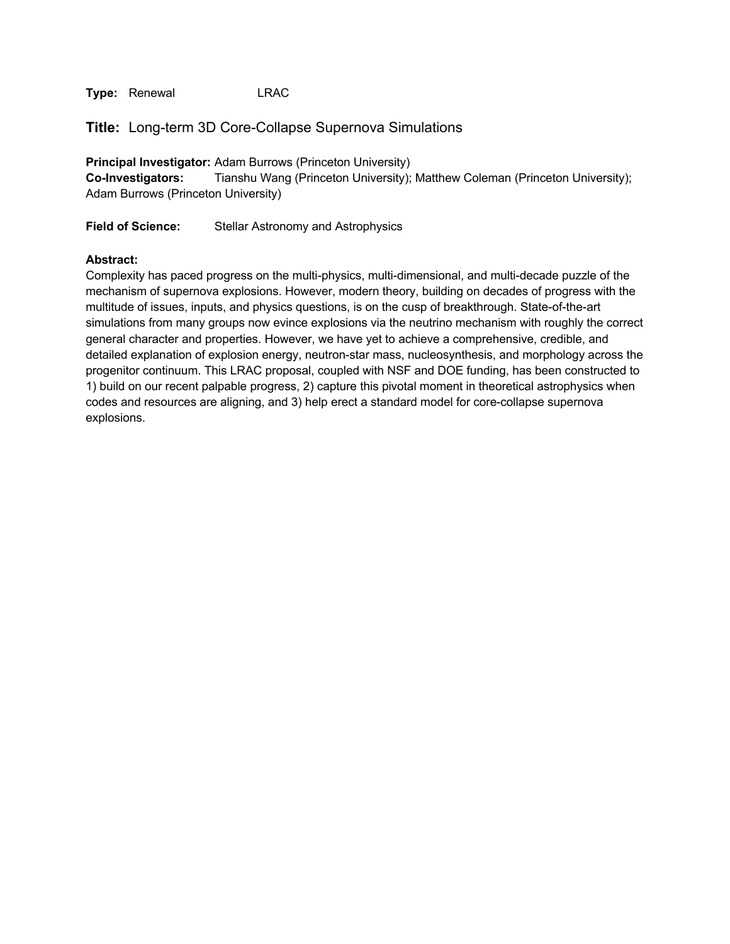**Title:** Long-term 3D Core-Collapse Supernova Simulations

**Principal Investigator:** Adam Burrows (Princeton University) **Co-Investigators:** Tianshu Wang (Princeton University); Matthew Coleman (Princeton University); Adam Burrows (Princeton University)

**Field of Science:** Stellar Astronomy and Astrophysics

#### **Abstract:**

Complexity has paced progress on the multi-physics, multi-dimensional, and multi-decade puzzle of the mechanism of supernova explosions. However, modern theory, building on decades of progress with the multitude of issues, inputs, and physics questions, is on the cusp of breakthrough. State-of-the-art simulations from many groups now evince explosions via the neutrino mechanism with roughly the correct general character and properties. However, we have yet to achieve a comprehensive, credible, and detailed explanation of explosion energy, neutron-star mass, nucleosynthesis, and morphology across the progenitor continuum. This LRAC proposal, coupled with NSF and DOE funding, has been constructed to 1) build on our recent palpable progress, 2) capture this pivotal moment in theoretical astrophysics when codes and resources are aligning, and 3) help erect a standard model for core-collapse supernova explosions.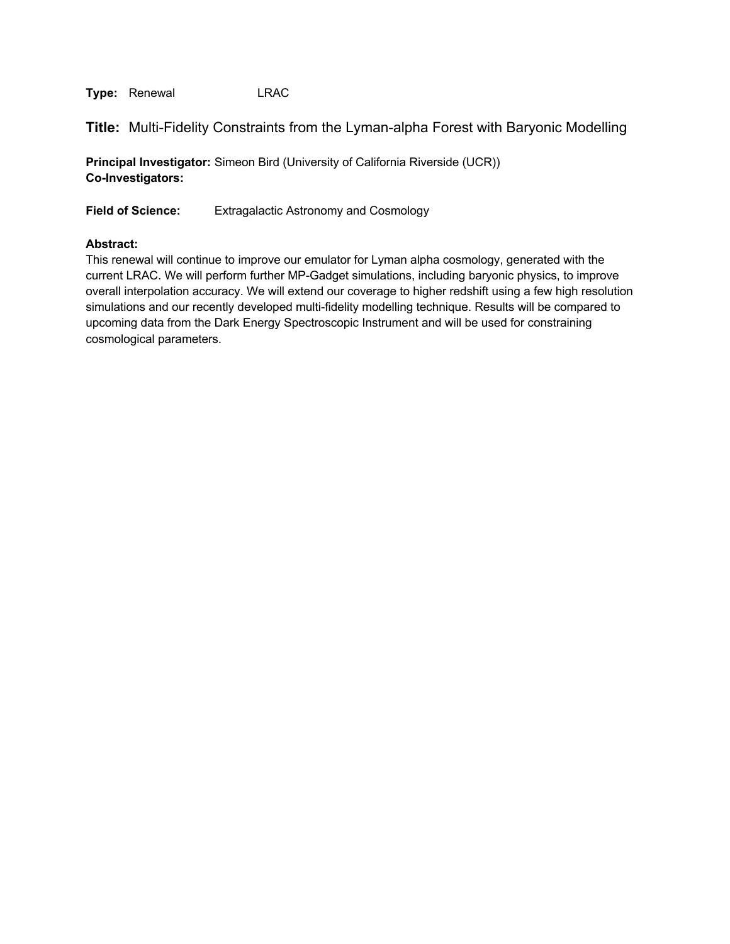**Title:** Multi-Fidelity Constraints from the Lyman-alpha Forest with Baryonic Modelling

**Principal Investigator:** Simeon Bird (University of California Riverside (UCR)) **Co-Investigators:**

**Field of Science:** Extragalactic Astronomy and Cosmology

## **Abstract:**

This renewal will continue to improve our emulator for Lyman alpha cosmology, generated with the current LRAC. We will perform further MP-Gadget simulations, including baryonic physics, to improve overall interpolation accuracy. We will extend our coverage to higher redshift using a few high resolution simulations and our recently developed multi-fidelity modelling technique. Results will be compared to upcoming data from the Dark Energy Spectroscopic Instrument and will be used for constraining cosmological parameters.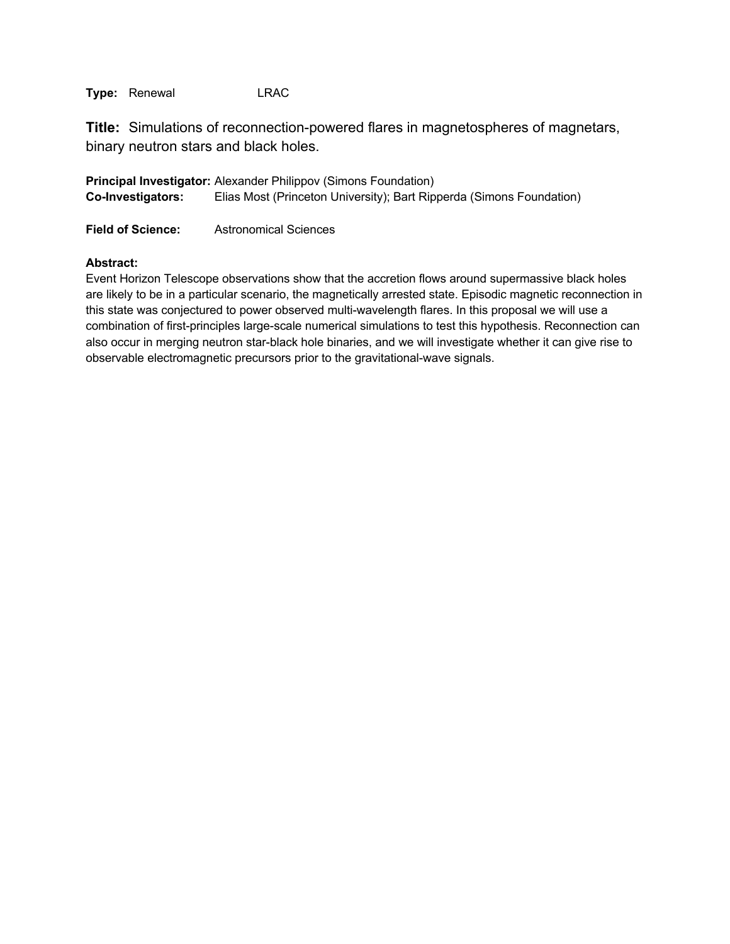**Title:** Simulations of reconnection-powered flares in magnetospheres of magnetars, binary neutron stars and black holes.

**Principal Investigator:** Alexander Philippov (Simons Foundation) **Co-Investigators:** Elias Most (Princeton University); Bart Ripperda (Simons Foundation)

**Field of Science:** Astronomical Sciences

## **Abstract:**

Event Horizon Telescope observations show that the accretion flows around supermassive black holes are likely to be in a particular scenario, the magnetically arrested state. Episodic magnetic reconnection in this state was conjectured to power observed multi-wavelength flares. In this proposal we will use a combination of first-principles large-scale numerical simulations to test this hypothesis. Reconnection can also occur in merging neutron star-black hole binaries, and we will investigate whether it can give rise to observable electromagnetic precursors prior to the gravitational-wave signals.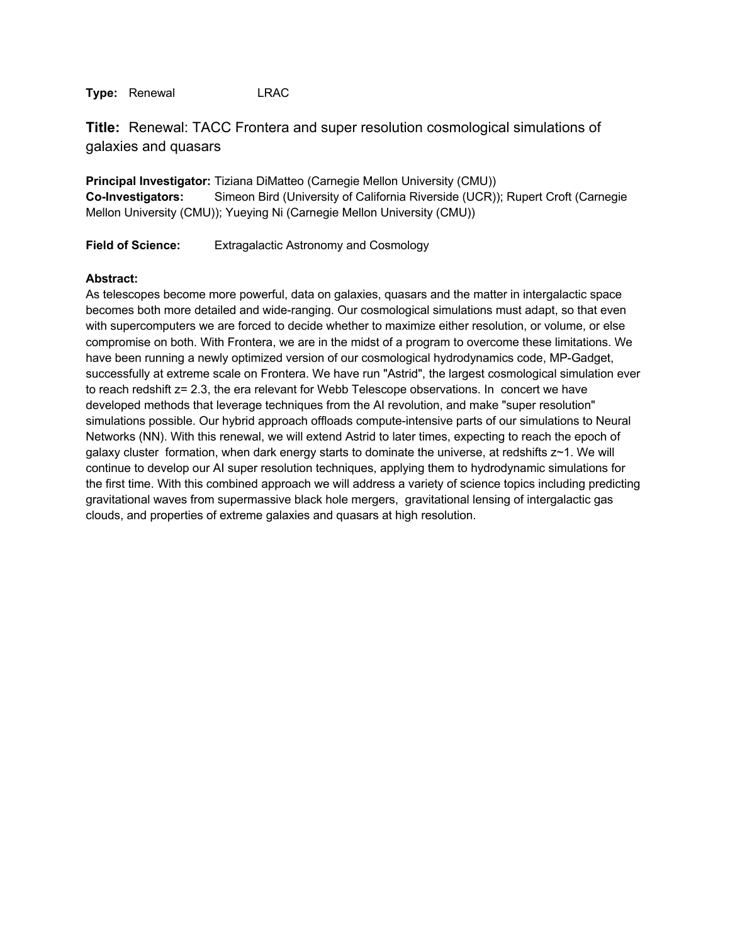**Title:** Renewal: TACC Frontera and super resolution cosmological simulations of galaxies and quasars

**Principal Investigator:** Tiziana DiMatteo (Carnegie Mellon University (CMU)) **Co-Investigators:** Simeon Bird (University of California Riverside (UCR)); Rupert Croft (Carnegie Mellon University (CMU)); Yueying Ni (Carnegie Mellon University (CMU))

**Field of Science:** Extragalactic Astronomy and Cosmology

#### **Abstract:**

As telescopes become more powerful, data on galaxies, quasars and the matter in intergalactic space becomes both more detailed and wide-ranging. Our cosmological simulations must adapt, so that even with supercomputers we are forced to decide whether to maximize either resolution, or volume, or else compromise on both. With Frontera, we are in the midst of a program to overcome these limitations. We have been running a newly optimized version of our cosmological hydrodynamics code, MP-Gadget, successfully at extreme scale on Frontera. We have run "Astrid", the largest cosmological simulation ever to reach redshift z= 2.3, the era relevant for Webb Telescope observations. In concert we have developed methods that leverage techniques from the AI revolution, and make "super resolution" simulations possible. Our hybrid approach offloads compute-intensive parts of our simulations to Neural Networks (NN). With this renewal, we will extend Astrid to later times, expecting to reach the epoch of galaxy cluster formation, when dark energy starts to dominate the universe, at redshifts z~1. We will continue to develop our AI super resolution techniques, applying them to hydrodynamic simulations for the first time. With this combined approach we will address a variety of science topics including predicting gravitational waves from supermassive black hole mergers, gravitational lensing of intergalactic gas clouds, and properties of extreme galaxies and quasars at high resolution.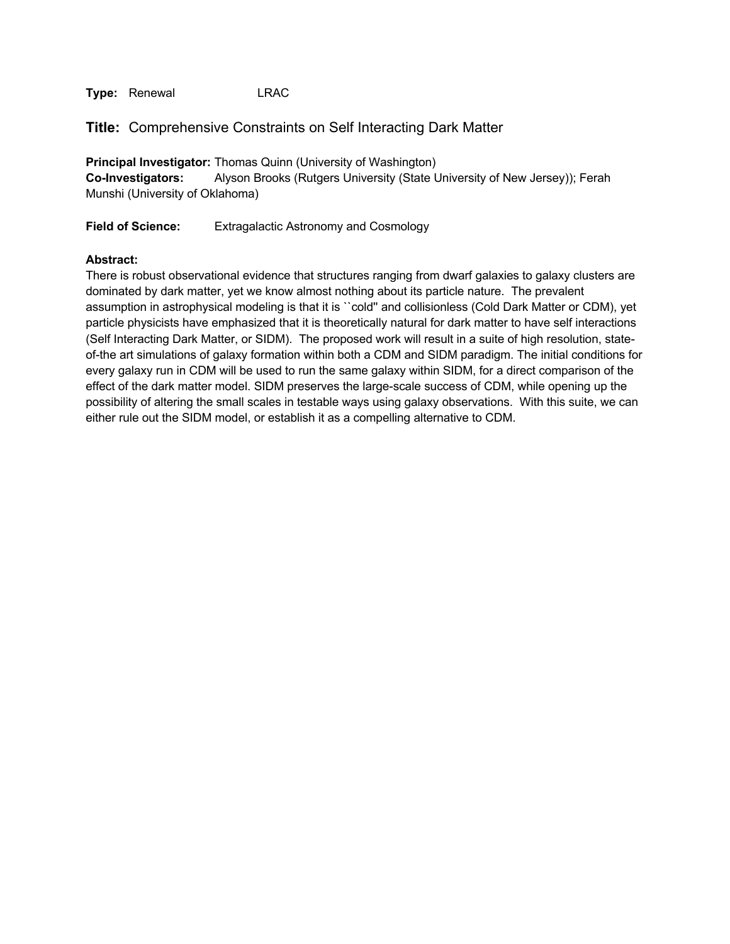**Title:** Comprehensive Constraints on Self Interacting Dark Matter

**Principal Investigator:** Thomas Quinn (University of Washington) **Co-Investigators:** Alyson Brooks (Rutgers University (State University of New Jersey)); Ferah Munshi (University of Oklahoma)

**Field of Science:** Extragalactic Astronomy and Cosmology

#### **Abstract:**

There is robust observational evidence that structures ranging from dwarf galaxies to galaxy clusters are dominated by dark matter, yet we know almost nothing about its particle nature. The prevalent assumption in astrophysical modeling is that it is ``cold'' and collisionless (Cold Dark Matter or CDM), yet particle physicists have emphasized that it is theoretically natural for dark matter to have self interactions (Self Interacting Dark Matter, or SIDM). The proposed work will result in a suite of high resolution, stateof-the art simulations of galaxy formation within both a CDM and SIDM paradigm. The initial conditions for every galaxy run in CDM will be used to run the same galaxy within SIDM, for a direct comparison of the effect of the dark matter model. SIDM preserves the large-scale success of CDM, while opening up the possibility of altering the small scales in testable ways using galaxy observations. With this suite, we can either rule out the SIDM model, or establish it as a compelling alternative to CDM.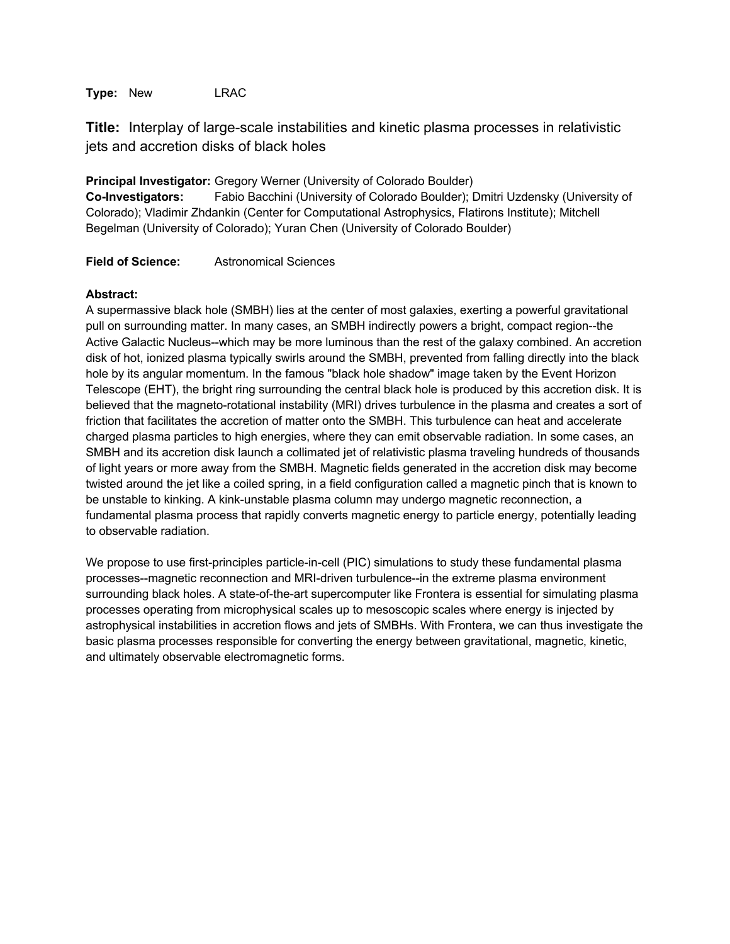**Type:** New LRAC

**Title:** Interplay of large-scale instabilities and kinetic plasma processes in relativistic jets and accretion disks of black holes

**Principal Investigator:** Gregory Werner (University of Colorado Boulder) **Co-Investigators:** Fabio Bacchini (University of Colorado Boulder); Dmitri Uzdensky (University of Colorado); Vladimir Zhdankin (Center for Computational Astrophysics, Flatirons Institute); Mitchell Begelman (University of Colorado); Yuran Chen (University of Colorado Boulder)

**Field of Science:** Astronomical Sciences

## **Abstract:**

A supermassive black hole (SMBH) lies at the center of most galaxies, exerting a powerful gravitational pull on surrounding matter. In many cases, an SMBH indirectly powers a bright, compact region--the Active Galactic Nucleus--which may be more luminous than the rest of the galaxy combined. An accretion disk of hot, ionized plasma typically swirls around the SMBH, prevented from falling directly into the black hole by its angular momentum. In the famous "black hole shadow" image taken by the Event Horizon Telescope (EHT), the bright ring surrounding the central black hole is produced by this accretion disk. It is believed that the magneto-rotational instability (MRI) drives turbulence in the plasma and creates a sort of friction that facilitates the accretion of matter onto the SMBH. This turbulence can heat and accelerate charged plasma particles to high energies, where they can emit observable radiation. In some cases, an SMBH and its accretion disk launch a collimated jet of relativistic plasma traveling hundreds of thousands of light years or more away from the SMBH. Magnetic fields generated in the accretion disk may become twisted around the jet like a coiled spring, in a field configuration called a magnetic pinch that is known to be unstable to kinking. A kink-unstable plasma column may undergo magnetic reconnection, a fundamental plasma process that rapidly converts magnetic energy to particle energy, potentially leading to observable radiation.

We propose to use first-principles particle-in-cell (PIC) simulations to study these fundamental plasma processes--magnetic reconnection and MRI-driven turbulence--in the extreme plasma environment surrounding black holes. A state-of-the-art supercomputer like Frontera is essential for simulating plasma processes operating from microphysical scales up to mesoscopic scales where energy is injected by astrophysical instabilities in accretion flows and jets of SMBHs. With Frontera, we can thus investigate the basic plasma processes responsible for converting the energy between gravitational, magnetic, kinetic, and ultimately observable electromagnetic forms.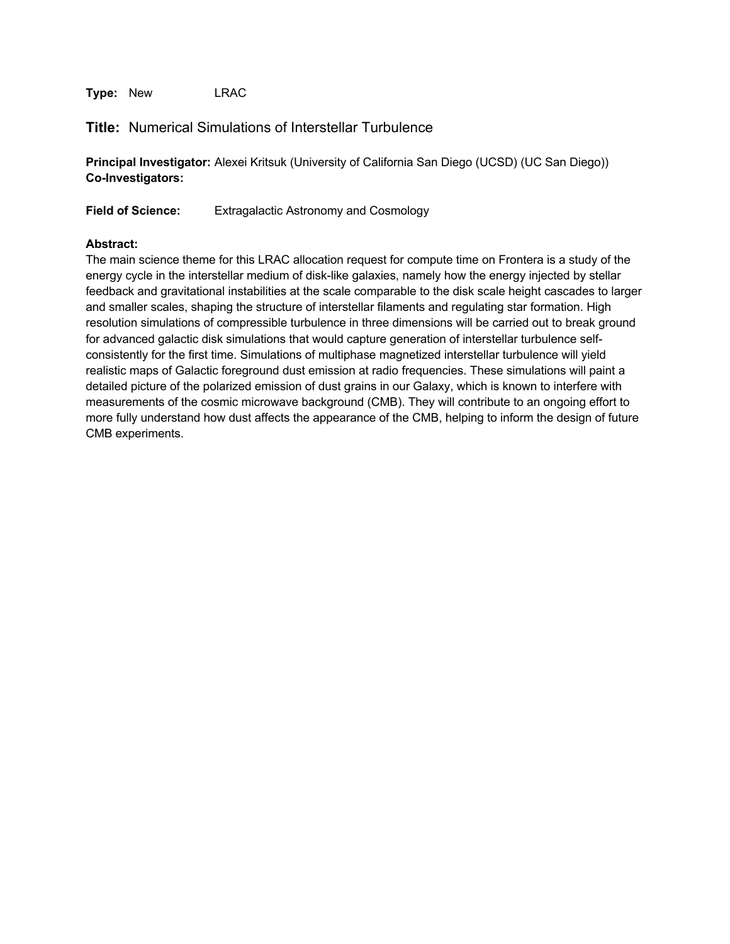**Type:** New LRAC

# **Title:** Numerical Simulations of Interstellar Turbulence

**Principal Investigator:** Alexei Kritsuk (University of California San Diego (UCSD) (UC San Diego)) **Co-Investigators:**

**Field of Science:** Extragalactic Astronomy and Cosmology

## **Abstract:**

The main science theme for this LRAC allocation request for compute time on Frontera is a study of the energy cycle in the interstellar medium of disk-like galaxies, namely how the energy injected by stellar feedback and gravitational instabilities at the scale comparable to the disk scale height cascades to larger and smaller scales, shaping the structure of interstellar filaments and regulating star formation. High resolution simulations of compressible turbulence in three dimensions will be carried out to break ground for advanced galactic disk simulations that would capture generation of interstellar turbulence selfconsistently for the first time. Simulations of multiphase magnetized interstellar turbulence will yield realistic maps of Galactic foreground dust emission at radio frequencies. These simulations will paint a detailed picture of the polarized emission of dust grains in our Galaxy, which is known to interfere with measurements of the cosmic microwave background (CMB). They will contribute to an ongoing effort to more fully understand how dust affects the appearance of the CMB, helping to inform the design of future CMB experiments.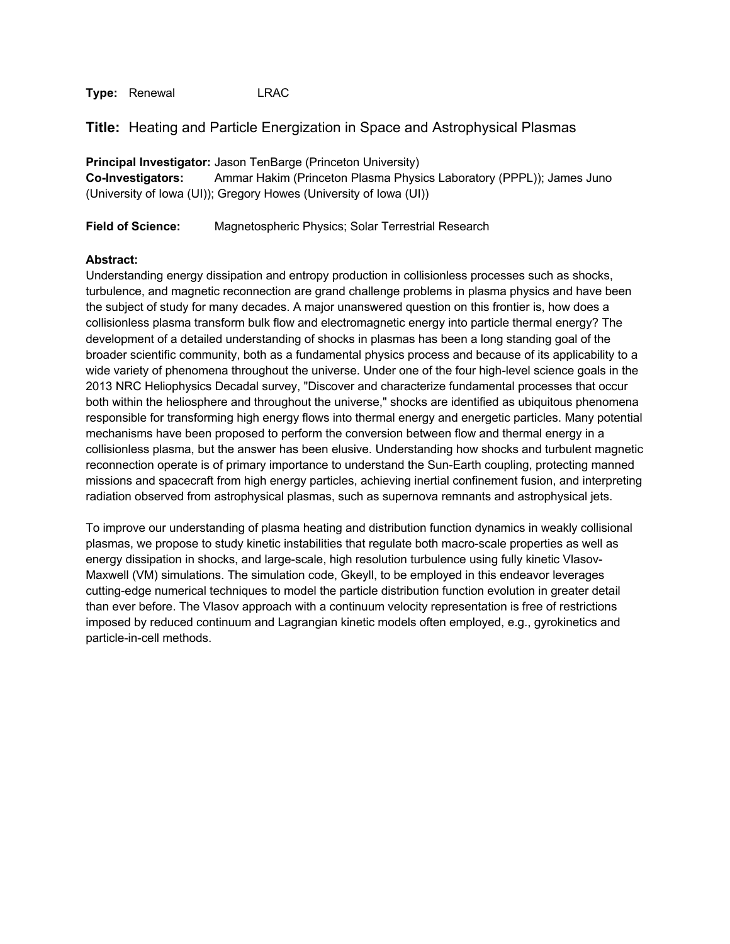**Title:** Heating and Particle Energization in Space and Astrophysical Plasmas

**Principal Investigator:** Jason TenBarge (Princeton University) **Co-Investigators:** Ammar Hakim (Princeton Plasma Physics Laboratory (PPPL)); James Juno (University of Iowa (UI)); Gregory Howes (University of Iowa (UI))

**Field of Science:** Magnetospheric Physics; Solar Terrestrial Research

## **Abstract:**

Understanding energy dissipation and entropy production in collisionless processes such as shocks, turbulence, and magnetic reconnection are grand challenge problems in plasma physics and have been the subject of study for many decades. A major unanswered question on this frontier is, how does a collisionless plasma transform bulk flow and electromagnetic energy into particle thermal energy? The development of a detailed understanding of shocks in plasmas has been a long standing goal of the broader scientific community, both as a fundamental physics process and because of its applicability to a wide variety of phenomena throughout the universe. Under one of the four high-level science goals in the 2013 NRC Heliophysics Decadal survey, "Discover and characterize fundamental processes that occur both within the heliosphere and throughout the universe," shocks are identified as ubiquitous phenomena responsible for transforming high energy flows into thermal energy and energetic particles. Many potential mechanisms have been proposed to perform the conversion between flow and thermal energy in a collisionless plasma, but the answer has been elusive. Understanding how shocks and turbulent magnetic reconnection operate is of primary importance to understand the Sun-Earth coupling, protecting manned missions and spacecraft from high energy particles, achieving inertial confinement fusion, and interpreting radiation observed from astrophysical plasmas, such as supernova remnants and astrophysical jets.

To improve our understanding of plasma heating and distribution function dynamics in weakly collisional plasmas, we propose to study kinetic instabilities that regulate both macro-scale properties as well as energy dissipation in shocks, and large-scale, high resolution turbulence using fully kinetic Vlasov-Maxwell (VM) simulations. The simulation code, Gkeyll, to be employed in this endeavor leverages cutting-edge numerical techniques to model the particle distribution function evolution in greater detail than ever before. The Vlasov approach with a continuum velocity representation is free of restrictions imposed by reduced continuum and Lagrangian kinetic models often employed, e.g., gyrokinetics and particle-in-cell methods.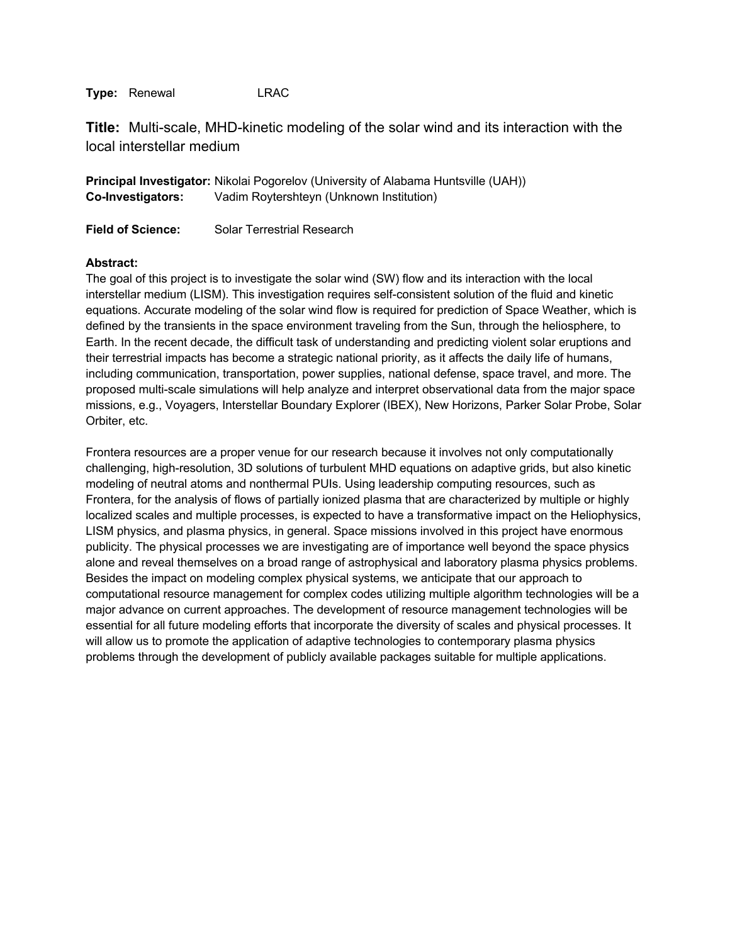**Title:** Multi-scale, MHD-kinetic modeling of the solar wind and its interaction with the local interstellar medium

**Principal Investigator:** Nikolai Pogorelov (University of Alabama Huntsville (UAH)) **Co-Investigators:** Vadim Roytershteyn (Unknown Institution)

**Field of Science:** Solar Terrestrial Research

## **Abstract:**

The goal of this project is to investigate the solar wind (SW) flow and its interaction with the local interstellar medium (LISM). This investigation requires self-consistent solution of the fluid and kinetic equations. Accurate modeling of the solar wind flow is required for prediction of Space Weather, which is defined by the transients in the space environment traveling from the Sun, through the heliosphere, to Earth. In the recent decade, the difficult task of understanding and predicting violent solar eruptions and their terrestrial impacts has become a strategic national priority, as it affects the daily life of humans, including communication, transportation, power supplies, national defense, space travel, and more. The proposed multi-scale simulations will help analyze and interpret observational data from the major space missions, e.g., Voyagers, Interstellar Boundary Explorer (IBEX), New Horizons, Parker Solar Probe, Solar Orbiter, etc.

Frontera resources are a proper venue for our research because it involves not only computationally challenging, high-resolution, 3D solutions of turbulent MHD equations on adaptive grids, but also kinetic modeling of neutral atoms and nonthermal PUIs. Using leadership computing resources, such as Frontera, for the analysis of flows of partially ionized plasma that are characterized by multiple or highly localized scales and multiple processes, is expected to have a transformative impact on the Heliophysics, LISM physics, and plasma physics, in general. Space missions involved in this project have enormous publicity. The physical processes we are investigating are of importance well beyond the space physics alone and reveal themselves on a broad range of astrophysical and laboratory plasma physics problems. Besides the impact on modeling complex physical systems, we anticipate that our approach to computational resource management for complex codes utilizing multiple algorithm technologies will be a major advance on current approaches. The development of resource management technologies will be essential for all future modeling efforts that incorporate the diversity of scales and physical processes. It will allow us to promote the application of adaptive technologies to contemporary plasma physics problems through the development of publicly available packages suitable for multiple applications.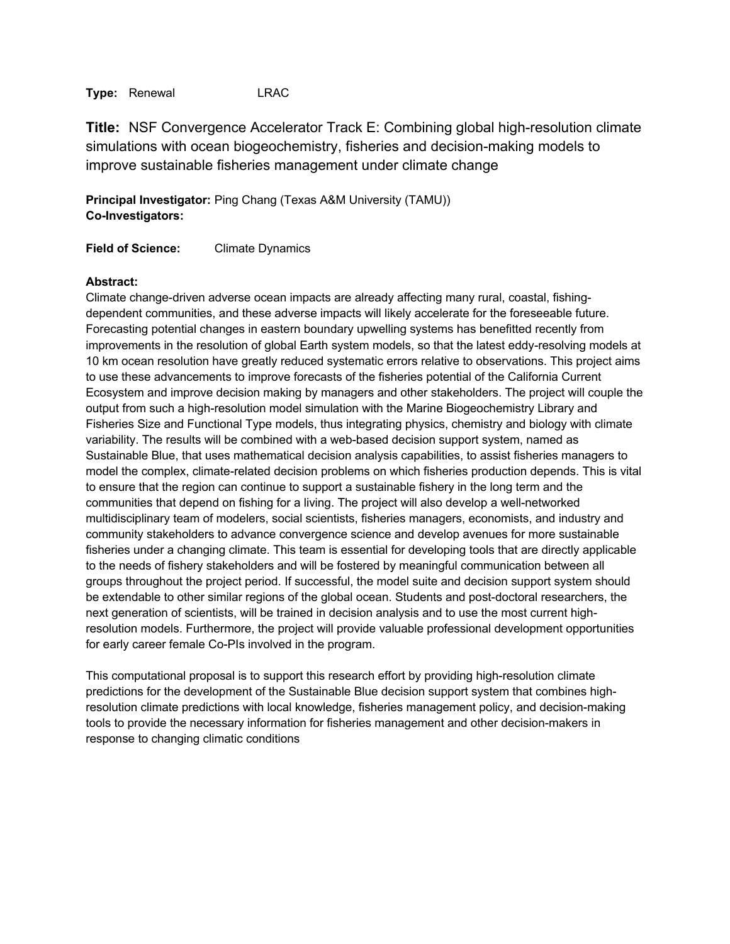**Title:** NSF Convergence Accelerator Track E: Combining global high-resolution climate simulations with ocean biogeochemistry, fisheries and decision-making models to improve sustainable fisheries management under climate change

**Principal Investigator:** Ping Chang (Texas A&M University (TAMU)) **Co-Investigators:**

**Field of Science:** Climate Dynamics

## **Abstract:**

Climate change-driven adverse ocean impacts are already affecting many rural, coastal, fishingdependent communities, and these adverse impacts will likely accelerate for the foreseeable future. Forecasting potential changes in eastern boundary upwelling systems has benefitted recently from improvements in the resolution of global Earth system models, so that the latest eddy-resolving models at 10 km ocean resolution have greatly reduced systematic errors relative to observations. This project aims to use these advancements to improve forecasts of the fisheries potential of the California Current Ecosystem and improve decision making by managers and other stakeholders. The project will couple the output from such a high-resolution model simulation with the Marine Biogeochemistry Library and Fisheries Size and Functional Type models, thus integrating physics, chemistry and biology with climate variability. The results will be combined with a web-based decision support system, named as Sustainable Blue, that uses mathematical decision analysis capabilities, to assist fisheries managers to model the complex, climate-related decision problems on which fisheries production depends. This is vital to ensure that the region can continue to support a sustainable fishery in the long term and the communities that depend on fishing for a living. The project will also develop a well-networked multidisciplinary team of modelers, social scientists, fisheries managers, economists, and industry and community stakeholders to advance convergence science and develop avenues for more sustainable fisheries under a changing climate. This team is essential for developing tools that are directly applicable to the needs of fishery stakeholders and will be fostered by meaningful communication between all groups throughout the project period. If successful, the model suite and decision support system should be extendable to other similar regions of the global ocean. Students and post-doctoral researchers, the next generation of scientists, will be trained in decision analysis and to use the most current highresolution models. Furthermore, the project will provide valuable professional development opportunities for early career female Co-PIs involved in the program.

This computational proposal is to support this research effort by providing high-resolution climate predictions for the development of the Sustainable Blue decision support system that combines highresolution climate predictions with local knowledge, fisheries management policy, and decision-making tools to provide the necessary information for fisheries management and other decision-makers in response to changing climatic conditions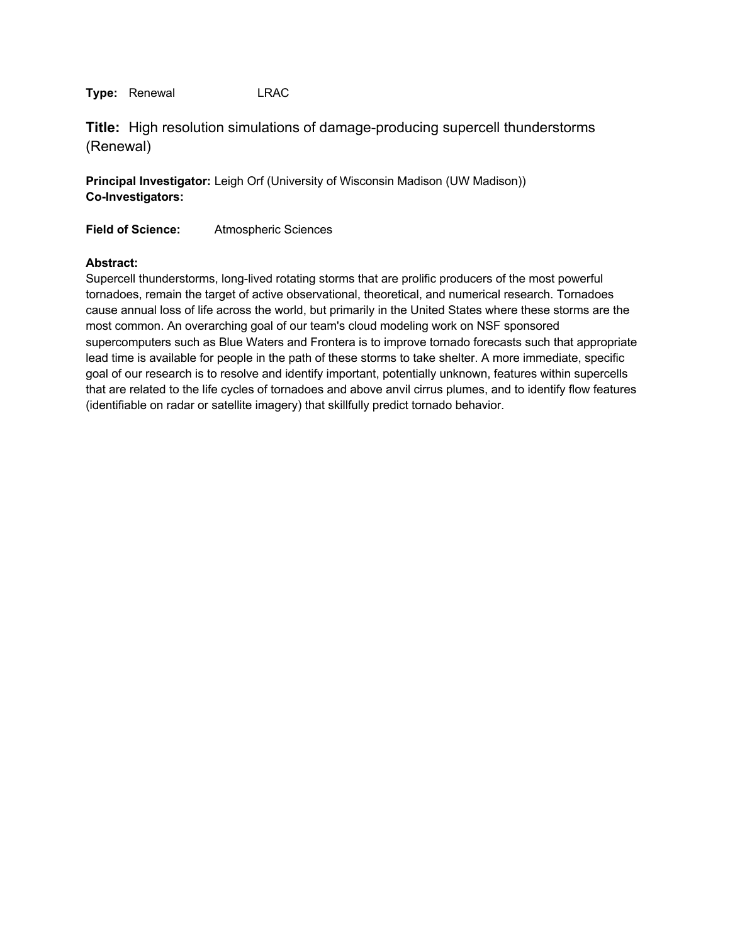**Title:** High resolution simulations of damage-producing supercell thunderstorms (Renewal)

**Principal Investigator:** Leigh Orf (University of Wisconsin Madison (UW Madison)) **Co-Investigators:**

**Field of Science:** Atmospheric Sciences

#### **Abstract:**

Supercell thunderstorms, long-lived rotating storms that are prolific producers of the most powerful tornadoes, remain the target of active observational, theoretical, and numerical research. Tornadoes cause annual loss of life across the world, but primarily in the United States where these storms are the most common. An overarching goal of our team's cloud modeling work on NSF sponsored supercomputers such as Blue Waters and Frontera is to improve tornado forecasts such that appropriate lead time is available for people in the path of these storms to take shelter. A more immediate, specific goal of our research is to resolve and identify important, potentially unknown, features within supercells that are related to the life cycles of tornadoes and above anvil cirrus plumes, and to identify flow features (identifiable on radar or satellite imagery) that skillfully predict tornado behavior.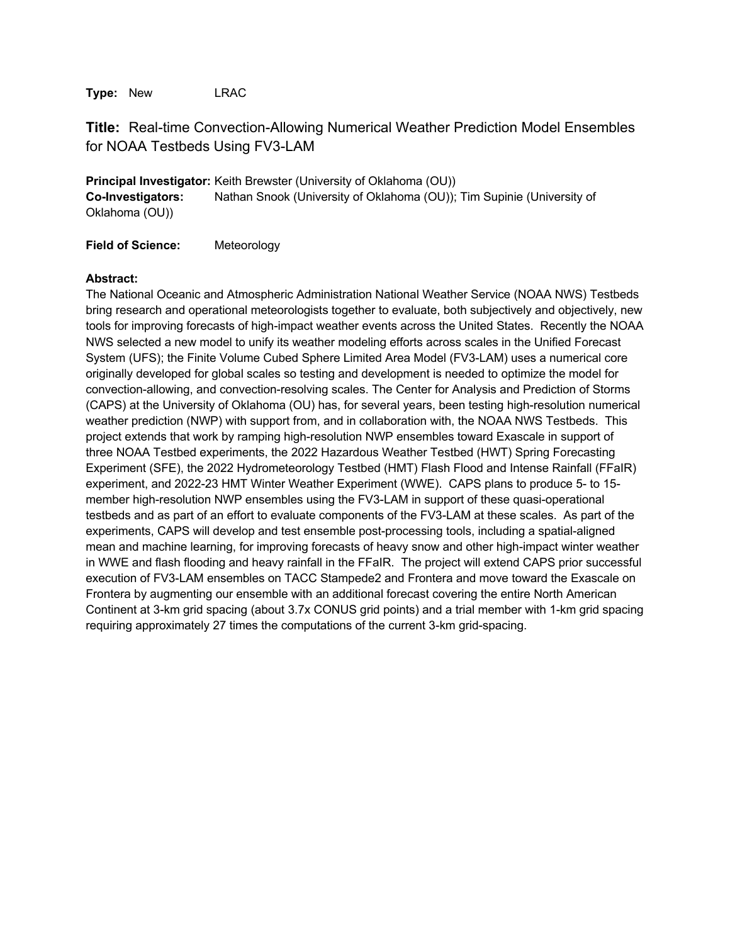**Type:** New LRAC

# **Title:** Real-time Convection-Allowing Numerical Weather Prediction Model Ensembles for NOAA Testbeds Using FV3-LAM

**Principal Investigator:** Keith Brewster (University of Oklahoma (OU)) **Co-Investigators:** Nathan Snook (University of Oklahoma (OU)); Tim Supinie (University of Oklahoma (OU))

**Field of Science:** Meteorology

#### **Abstract:**

The National Oceanic and Atmospheric Administration National Weather Service (NOAA NWS) Testbeds bring research and operational meteorologists together to evaluate, both subjectively and objectively, new tools for improving forecasts of high-impact weather events across the United States. Recently the NOAA NWS selected a new model to unify its weather modeling efforts across scales in the Unified Forecast System (UFS); the Finite Volume Cubed Sphere Limited Area Model (FV3-LAM) uses a numerical core originally developed for global scales so testing and development is needed to optimize the model for convection-allowing, and convection-resolving scales. The Center for Analysis and Prediction of Storms (CAPS) at the University of Oklahoma (OU) has, for several years, been testing high-resolution numerical weather prediction (NWP) with support from, and in collaboration with, the NOAA NWS Testbeds. This project extends that work by ramping high-resolution NWP ensembles toward Exascale in support of three NOAA Testbed experiments, the 2022 Hazardous Weather Testbed (HWT) Spring Forecasting Experiment (SFE), the 2022 Hydrometeorology Testbed (HMT) Flash Flood and Intense Rainfall (FFaIR) experiment, and 2022-23 HMT Winter Weather Experiment (WWE). CAPS plans to produce 5- to 15 member high-resolution NWP ensembles using the FV3-LAM in support of these quasi-operational testbeds and as part of an effort to evaluate components of the FV3-LAM at these scales. As part of the experiments, CAPS will develop and test ensemble post-processing tools, including a spatial-aligned mean and machine learning, for improving forecasts of heavy snow and other high-impact winter weather in WWE and flash flooding and heavy rainfall in the FFaIR. The project will extend CAPS prior successful execution of FV3-LAM ensembles on TACC Stampede2 and Frontera and move toward the Exascale on Frontera by augmenting our ensemble with an additional forecast covering the entire North American Continent at 3-km grid spacing (about 3.7x CONUS grid points) and a trial member with 1-km grid spacing requiring approximately 27 times the computations of the current 3-km grid-spacing.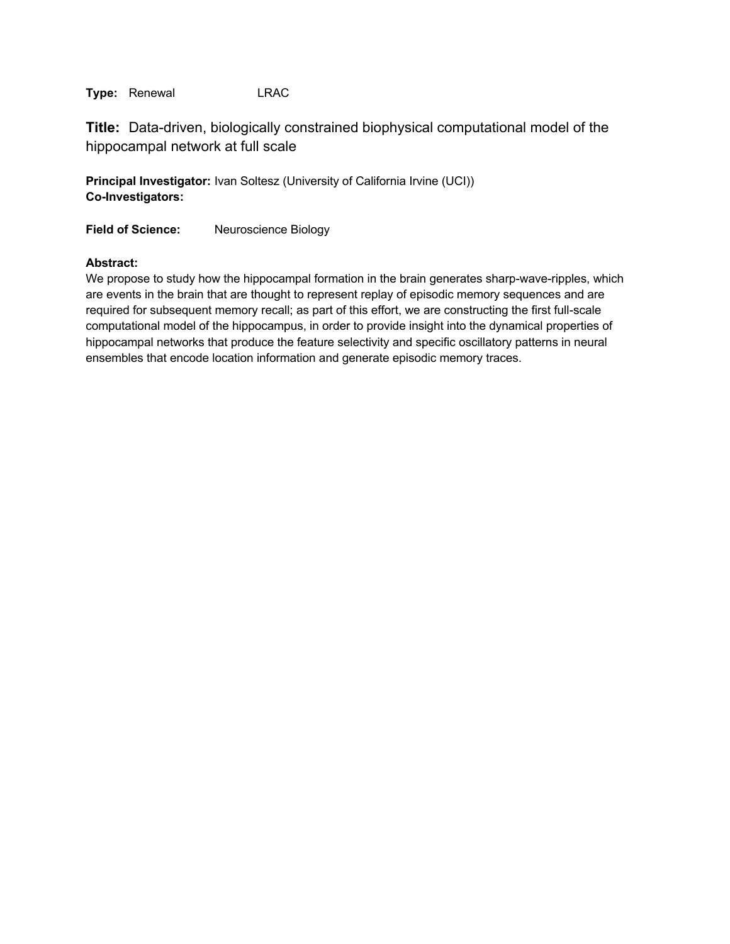**Title:** Data-driven, biologically constrained biophysical computational model of the hippocampal network at full scale

**Principal Investigator:** Ivan Soltesz (University of California Irvine (UCI)) **Co-Investigators:**

**Field of Science:** Neuroscience Biology

## **Abstract:**

We propose to study how the hippocampal formation in the brain generates sharp-wave-ripples, which are events in the brain that are thought to represent replay of episodic memory sequences and are required for subsequent memory recall; as part of this effort, we are constructing the first full-scale computational model of the hippocampus, in order to provide insight into the dynamical properties of hippocampal networks that produce the feature selectivity and specific oscillatory patterns in neural ensembles that encode location information and generate episodic memory traces.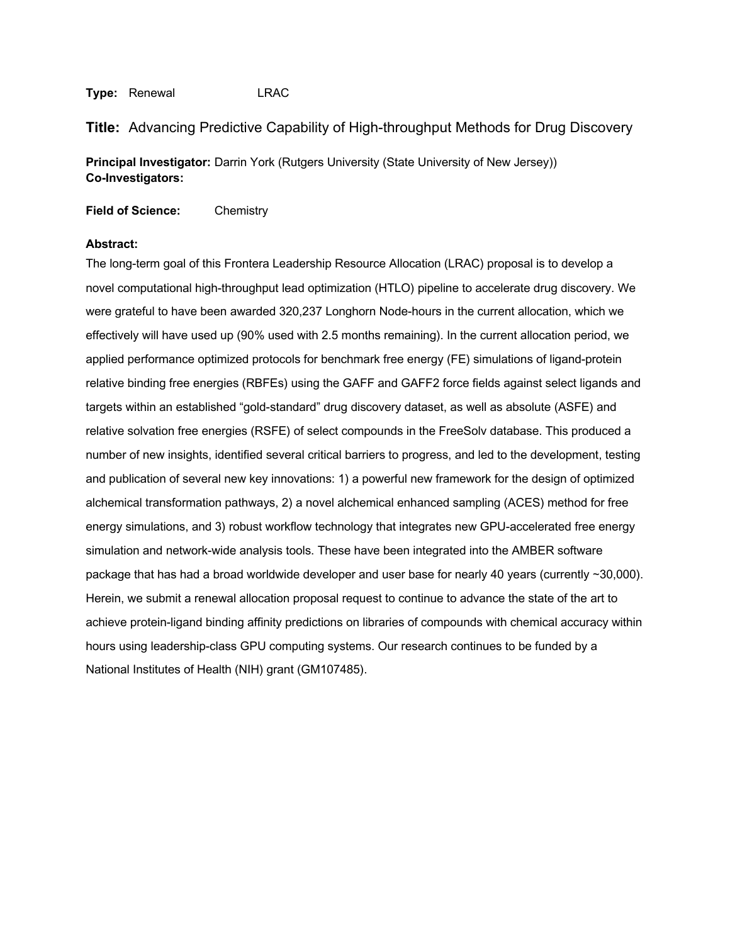**Title:** Advancing Predictive Capability of High-throughput Methods for Drug Discovery

**Principal Investigator:** Darrin York (Rutgers University (State University of New Jersey)) **Co-Investigators:**

**Field of Science:** Chemistry

#### **Abstract:**

The long-term goal of this Frontera Leadership Resource Allocation (LRAC) proposal is to develop a novel computational high-throughput lead optimization (HTLO) pipeline to accelerate drug discovery. We were grateful to have been awarded 320,237 Longhorn Node-hours in the current allocation, which we effectively will have used up (90% used with 2.5 months remaining). In the current allocation period, we applied performance optimized protocols for benchmark free energy (FE) simulations of ligand-protein relative binding free energies (RBFEs) using the GAFF and GAFF2 force fields against select ligands and targets within an established "gold-standard" drug discovery dataset, as well as absolute (ASFE) and relative solvation free energies (RSFE) of select compounds in the FreeSolv database. This produced a humber of new insights, identified several critical barriers to progress, and led to the development, testing and publication of several new key innovations: 1) a powerful new framework for the design of optimized alchemical transformation pathways, 2) a novel alchemical enhanced sampling (ACES) method for free energy simulations, and 3) robust workflow technology that integrates new GPU-accelerated free energy simulation and network-wide analysis tools. These have been integrated into the AMBER software package that has had a broad worldwide developer and user base for nearly 40 years (currently ~30,000). Herein, we submit a renewal allocation proposal request to continue to advance the state of the art to achieve protein-ligand binding affinity predictions on libraries of compounds with chemical accuracy within hours using leadership-class GPU computing systems. Our research continues to be funded by a National Institutes of Health (NIH) grant (GM107485).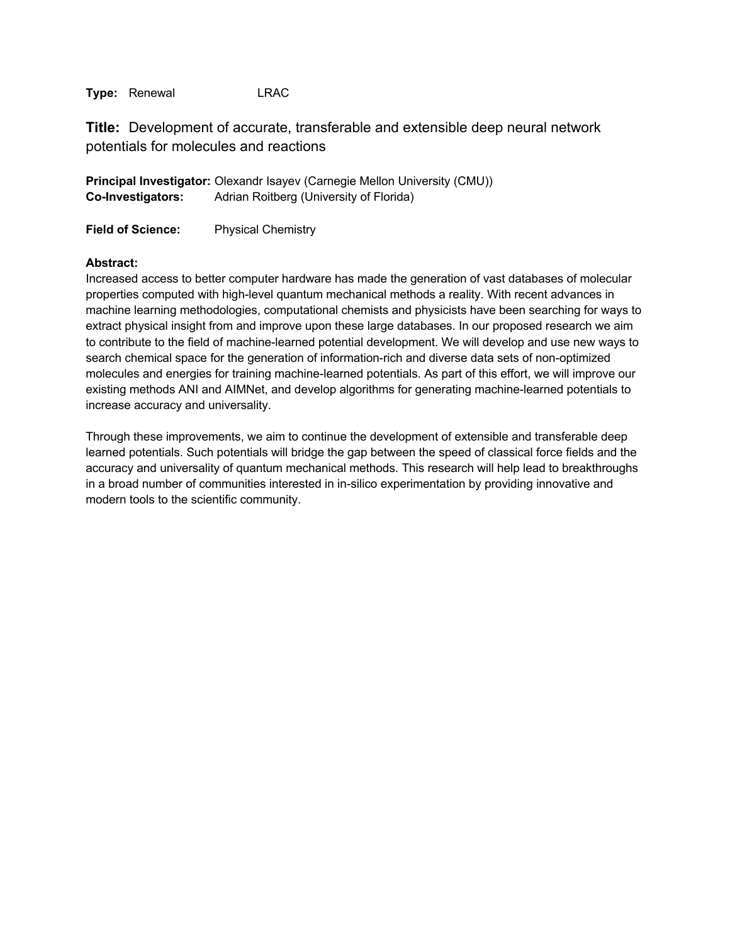**Title:** Development of accurate, transferable and extensible deep neural network potentials for molecules and reactions

**Principal Investigator:** Olexandr Isayev (Carnegie Mellon University (CMU)) **Co-Investigators:** Adrian Roitberg (University of Florida)

**Field of Science:** Physical Chemistry

## **Abstract:**

Increased access to better computer hardware has made the generation of vast databases of molecular properties computed with high-level quantum mechanical methods a reality. With recent advances in machine learning methodologies, computational chemists and physicists have been searching for ways to extract physical insight from and improve upon these large databases. In our proposed research we aim to contribute to the field of machine-learned potential development. We will develop and use new ways to search chemical space for the generation of information-rich and diverse data sets of non-optimized molecules and energies for training machine-learned potentials. As part of this effort, we will improve our existing methods ANI and AIMNet, and develop algorithms for generating machine-learned potentials to increase accuracy and universality.

Through these improvements, we aim to continue the development of extensible and transferable deep learned potentials. Such potentials will bridge the gap between the speed of classical force fields and the accuracy and universality of quantum mechanical methods. This research will help lead to breakthroughs in a broad number of communities interested in in-silico experimentation by providing innovative and modern tools to the scientific community.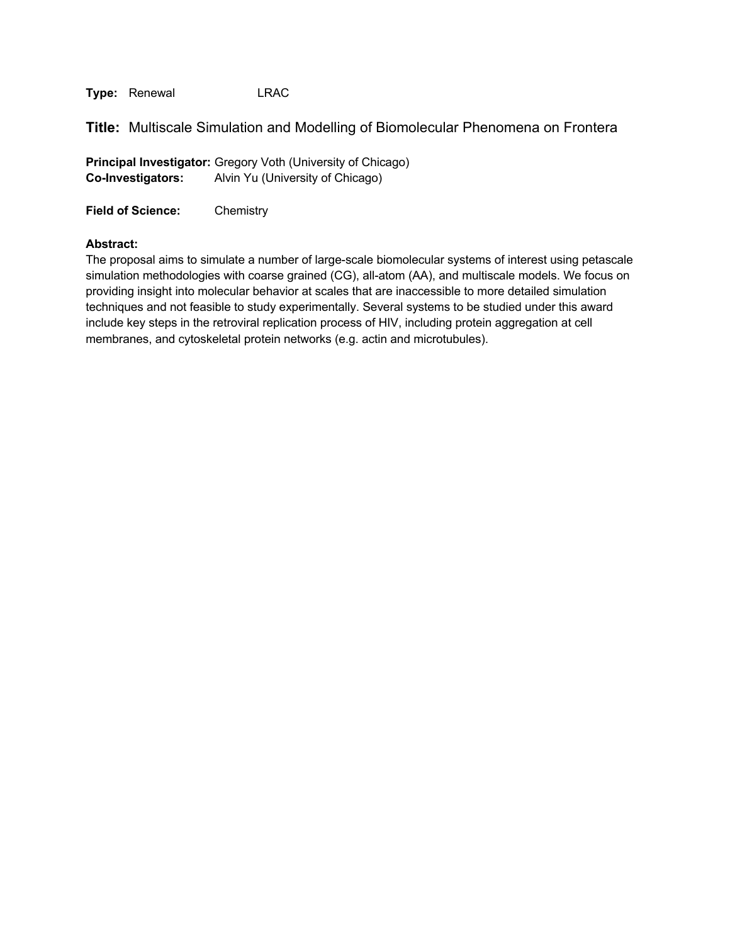**Title:** Multiscale Simulation and Modelling of Biomolecular Phenomena on Frontera

**Principal Investigator:** Gregory Voth (University of Chicago) **Co-Investigators:** Alvin Yu (University of Chicago)

**Field of Science:** Chemistry

## **Abstract:**

The proposal aims to simulate a number of large-scale biomolecular systems of interest using petascale simulation methodologies with coarse grained (CG), all-atom (AA), and multiscale models. We focus on providing insight into molecular behavior at scales that are inaccessible to more detailed simulation techniques and not feasible to study experimentally. Several systems to be studied under this award include key steps in the retroviral replication process of HIV, including protein aggregation at cell membranes, and cytoskeletal protein networks (e.g. actin and microtubules).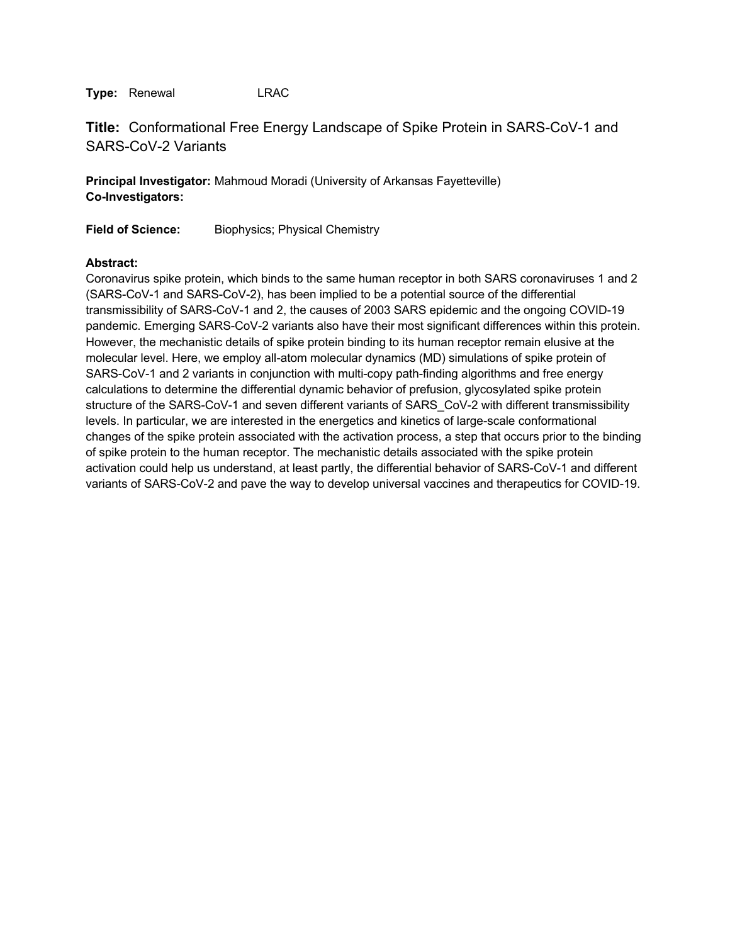# **Title:** Conformational Free Energy Landscape of Spike Protein in SARS-CoV-1 and SARS-CoV-2 Variants

**Principal Investigator:** Mahmoud Moradi (University of Arkansas Fayetteville) **Co-Investigators:**

**Field of Science:** Biophysics; Physical Chemistry

## **Abstract:**

Coronavirus spike protein, which binds to the same human receptor in both SARS coronaviruses 1 and 2 (SARS-CoV-1 and SARS-CoV-2), has been implied to be a potential source of the differential transmissibility of SARS-CoV-1 and 2, the causes of 2003 SARS epidemic and the ongoing COVID-19 pandemic. Emerging SARS-CoV-2 variants also have their most significant differences within this protein. However, the mechanistic details of spike protein binding to its human receptor remain elusive at the molecular level. Here, we employ all-atom molecular dynamics (MD) simulations of spike protein of SARS-CoV-1 and 2 variants in conjunction with multi-copy path-finding algorithms and free energy calculations to determine the differential dynamic behavior of prefusion, glycosylated spike protein structure of the SARS-CoV-1 and seven different variants of SARS\_CoV-2 with different transmissibility levels. In particular, we are interested in the energetics and kinetics of large-scale conformational changes of the spike protein associated with the activation process, a step that occurs prior to the binding of spike protein to the human receptor. The mechanistic details associated with the spike protein activation could help us understand, at least partly, the differential behavior of SARS-CoV-1 and different variants of SARS-CoV-2 and pave the way to develop universal vaccines and therapeutics for COVID-19.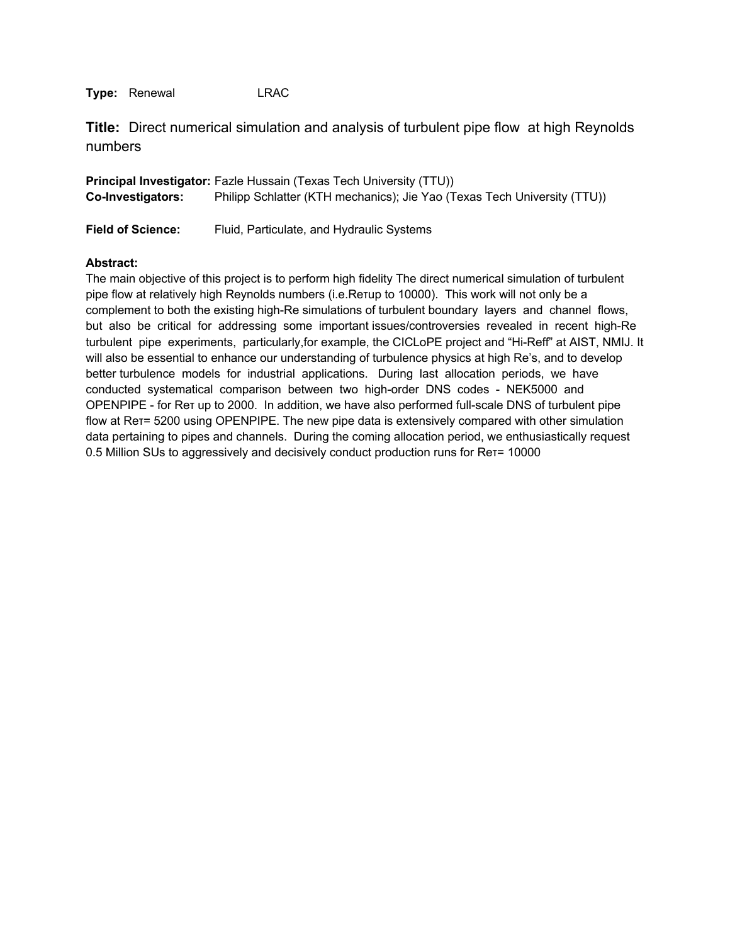**Title:** Direct numerical simulation and analysis of turbulent pipe flow at high Reynolds numbers

|                          | <b>Principal Investigator:</b> Fazle Hussain (Texas Tech University (TTU)) |
|--------------------------|----------------------------------------------------------------------------|
| <b>Co-Investigators:</b> | Philipp Schlatter (KTH mechanics); Jie Yao (Texas Tech University (TTU))   |

**Field of Science:** Fluid, Particulate, and Hydraulic Systems

#### **Abstract:**

The main objective of this project is to perform high fidelity The direct numerical simulation of turbulent pipe flow at relatively high Reynolds numbers (i.e.Reτup to 10000). This work will not only be a complement to both the existing high-Re simulations of turbulent boundary layers and channel flows, but also be critical for addressing some important issues/controversies revealed in recent high-Re turbulent pipe experiments, particularly,for example, the CICLoPE project and "Hi-Reff" at AIST, NMIJ. It will also be essential to enhance our understanding of turbulence physics at high Re's, and to develop better turbulence models for industrial applications. During last allocation periods, we have conducted systematical comparison between two high-order DNS codes - NEK5000 and OPENPIPE - for Reτ up to 2000. In addition, we have also performed full-scale DNS of turbulent pipe flow at Rer= 5200 using OPENPIPE. The new pipe data is extensively compared with other simulation data pertaining to pipes and channels. During the coming allocation period, we enthusiastically request 0.5 Million SUs to aggressively and decisively conduct production runs for Reτ= 10000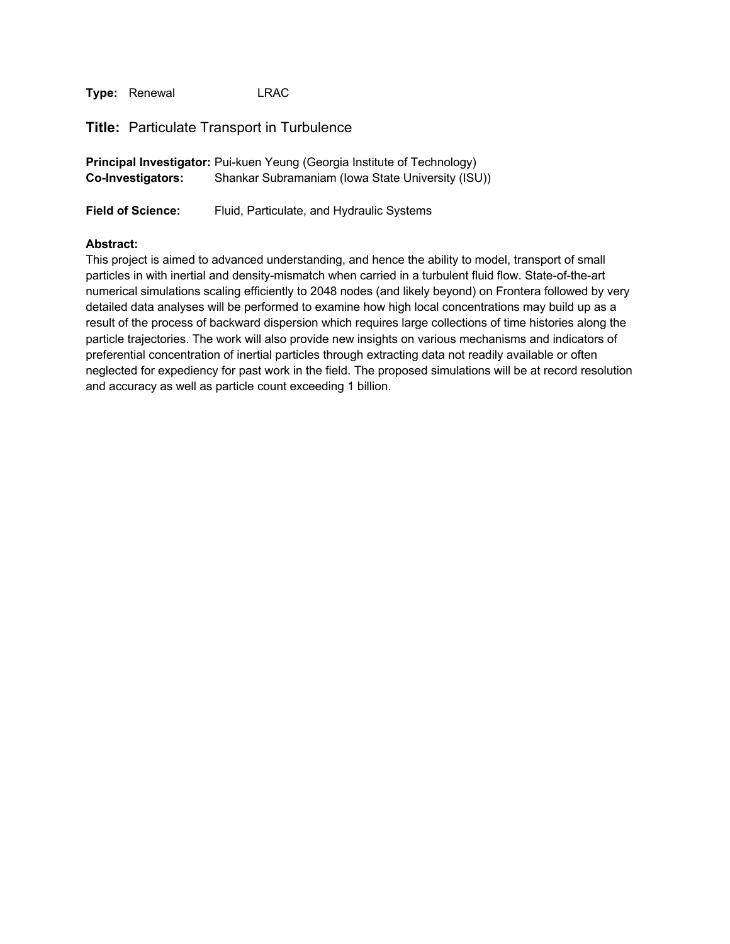**Title:** Particulate Transport in Turbulence

|                          | Principal Investigator: Pui-kuen Yeung (Georgia Institute of Technology) |
|--------------------------|--------------------------------------------------------------------------|
| <b>Co-Investigators:</b> | Shankar Subramaniam (Iowa State University (ISU))                        |

**Field of Science:** Fluid, Particulate, and Hydraulic Systems

#### **Abstract:**

This project is aimed to advanced understanding, and hence the ability to model, transport of small particles in with inertial and density-mismatch when carried in a turbulent fluid flow. State-of-the-art numerical simulations scaling efficiently to 2048 nodes (and likely beyond) on Frontera followed by very detailed data analyses will be performed to examine how high local concentrations may build up as a result of the process of backward dispersion which requires large collections of time histories along the particle trajectories. The work will also provide new insights on various mechanisms and indicators of preferential concentration of inertial particles through extracting data not readily available or often neglected for expediency for past work in the field. The proposed simulations will be at record resolution and accuracy as well as particle count exceeding 1 billion.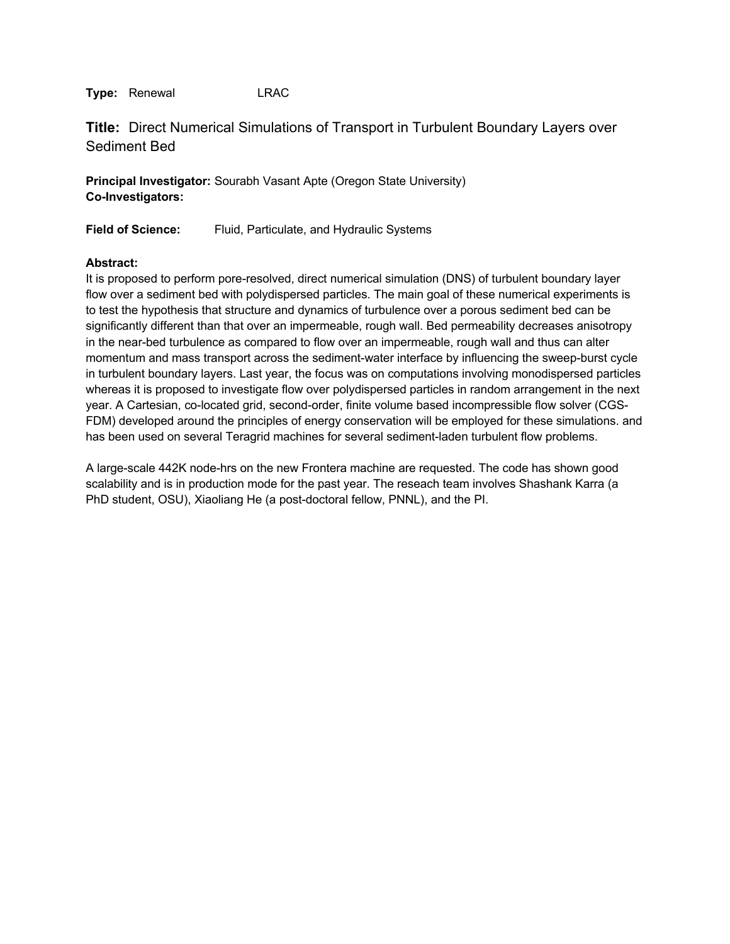**Title:** Direct Numerical Simulations of Transport in Turbulent Boundary Layers over Sediment Bed

**Principal Investigator:** Sourabh Vasant Apte (Oregon State University) **Co-Investigators:**

**Field of Science:** Fluid, Particulate, and Hydraulic Systems

## **Abstract:**

It is proposed to perform pore-resolved, direct numerical simulation (DNS) of turbulent boundary layer flow over a sediment bed with polydispersed particles. The main goal of these numerical experiments is to test the hypothesis that structure and dynamics of turbulence over a porous sediment bed can be significantly different than that over an impermeable, rough wall. Bed permeability decreases anisotropy in the near-bed turbulence as compared to flow over an impermeable, rough wall and thus can alter momentum and mass transport across the sediment-water interface by influencing the sweep-burst cycle in turbulent boundary layers. Last year, the focus was on computations involving monodispersed particles whereas it is proposed to investigate flow over polydispersed particles in random arrangement in the next year. A Cartesian, co-located grid, second-order, finite volume based incompressible flow solver (CGS-FDM) developed around the principles of energy conservation will be employed for these simulations. and has been used on several Teragrid machines for several sediment-laden turbulent flow problems.

A large-scale 442K node-hrs on the new Frontera machine are requested. The code has shown good scalability and is in production mode for the past year. The reseach team involves Shashank Karra (a PhD student, OSU), Xiaoliang He (a post-doctoral fellow, PNNL), and the PI.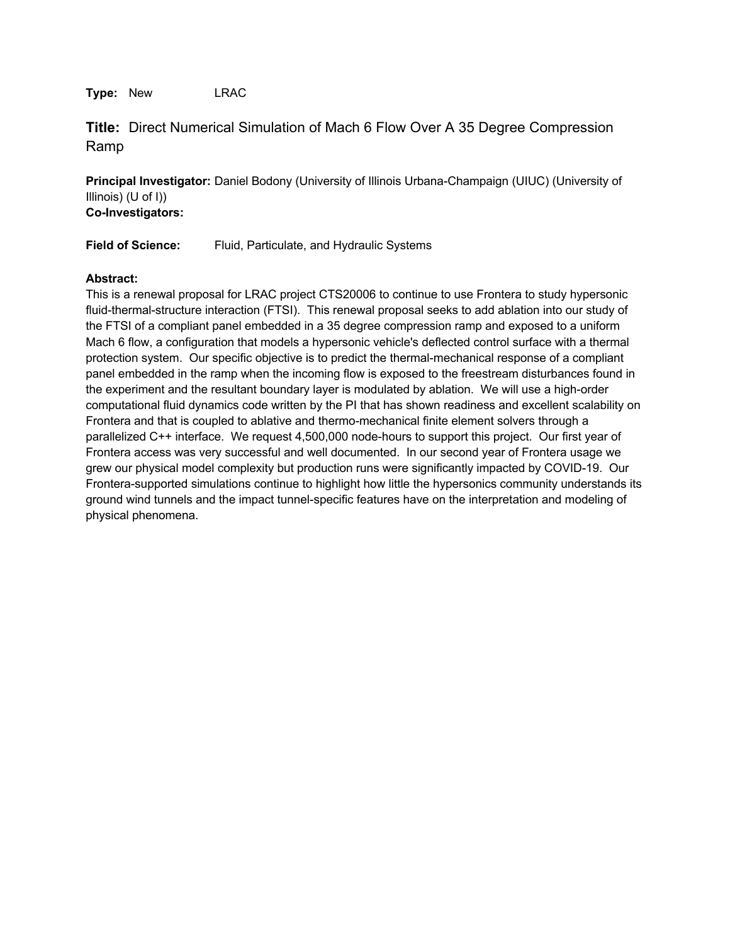**Type:** New LRAC

**Title:** Direct Numerical Simulation of Mach 6 Flow Over A 35 Degree Compression Ramp

**Principal Investigator:** Daniel Bodony (University of Illinois Urbana-Champaign (UIUC) (University of Illinois) (U of I)) **Co-Investigators:**

**Field of Science:** Fluid, Particulate, and Hydraulic Systems

## **Abstract:**

This is a renewal proposal for LRAC project CTS20006 to continue to use Frontera to study hypersonic fluid-thermal-structure interaction (FTSI). This renewal proposal seeks to add ablation into our study of the FTSI of a compliant panel embedded in a 35 degree compression ramp and exposed to a uniform Mach 6 flow, a configuration that models a hypersonic vehicle's deflected control surface with a thermal protection system. Our specific objective is to predict the thermal-mechanical response of a compliant panel embedded in the ramp when the incoming flow is exposed to the freestream disturbances found in the experiment and the resultant boundary layer is modulated by ablation. We will use a high-order computational fluid dynamics code written by the PI that has shown readiness and excellent scalability on Frontera and that is coupled to ablative and thermo-mechanical finite element solvers through a parallelized C++ interface. We request 4,500,000 node-hours to support this project. Our first year of Frontera access was very successful and well documented. In our second year of Frontera usage we grew our physical model complexity but production runs were significantly impacted by COVID-19. Our Frontera-supported simulations continue to highlight how little the hypersonics community understands its ground wind tunnels and the impact tunnel-specific features have on the interpretation and modeling of physical phenomena.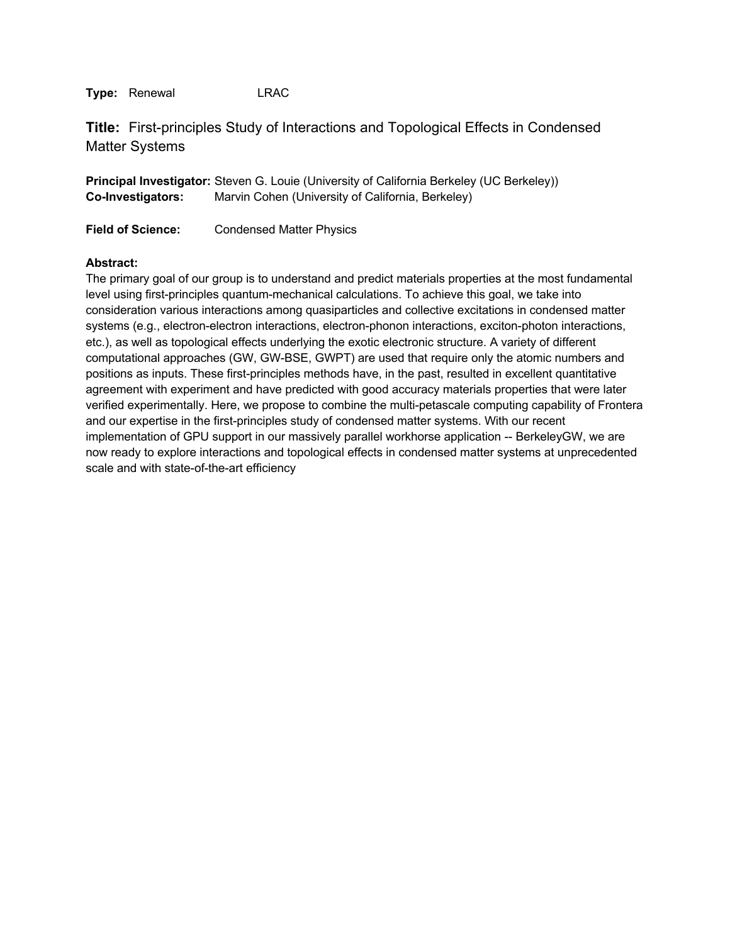**Title:** First-principles Study of Interactions and Topological Effects in Condensed Matter Systems

**Principal Investigator:** Steven G. Louie (University of California Berkeley (UC Berkeley)) **Co-Investigators:** Marvin Cohen (University of California, Berkeley)

**Field of Science:** Condensed Matter Physics

## **Abstract:**

The primary goal of our group is to understand and predict materials properties at the most fundamental level using first-principles quantum-mechanical calculations. To achieve this goal, we take into consideration various interactions among quasiparticles and collective excitations in condensed matter systems (e.g., electron-electron interactions, electron-phonon interactions, exciton-photon interactions, etc.), as well as topological effects underlying the exotic electronic structure. A variety of different computational approaches (GW, GW-BSE, GWPT) are used that require only the atomic numbers and positions as inputs. These first-principles methods have, in the past, resulted in excellent quantitative agreement with experiment and have predicted with good accuracy materials properties that were later verified experimentally. Here, we propose to combine the multi-petascale computing capability of Frontera and our expertise in the first-principles study of condensed matter systems. With our recent implementation of GPU support in our massively parallel workhorse application -- BerkeleyGW, we are now ready to explore interactions and topological effects in condensed matter systems at unprecedented scale and with state-of-the-art efficiency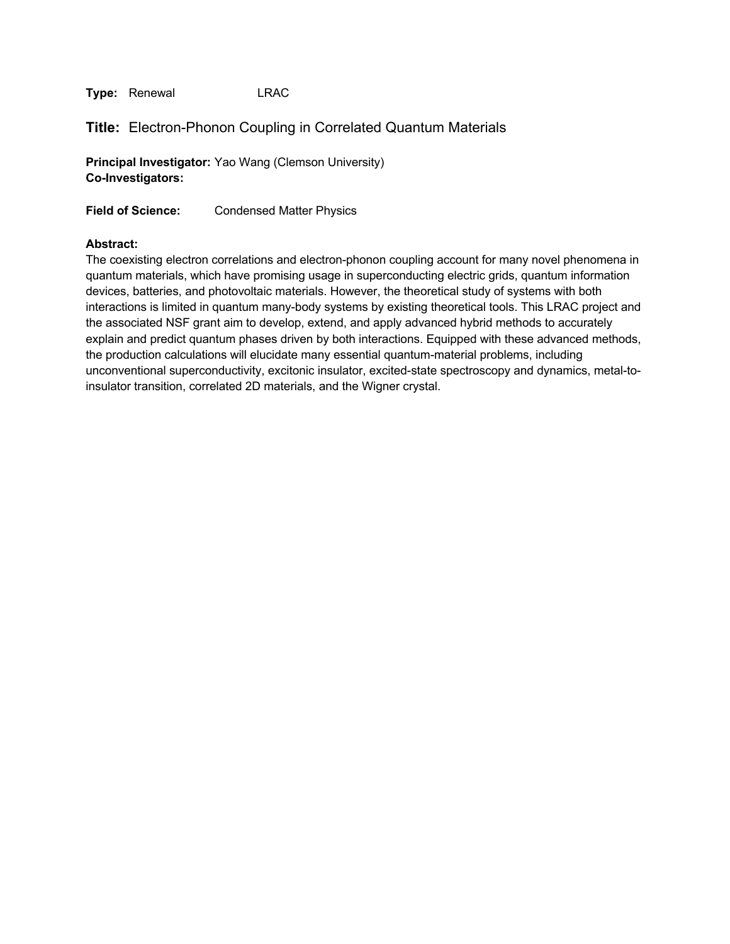# **Title:** Electron-Phonon Coupling in Correlated Quantum Materials

**Principal Investigator:** Yao Wang (Clemson University) **Co-Investigators:**

**Field of Science:** Condensed Matter Physics

#### **Abstract:**

The coexisting electron correlations and electron-phonon coupling account for many novel phenomena in quantum materials, which have promising usage in superconducting electric grids, quantum information devices, batteries, and photovoltaic materials. However, the theoretical study of systems with both interactions is limited in quantum many-body systems by existing theoretical tools. This LRAC project and the associated NSF grant aim to develop, extend, and apply advanced hybrid methods to accurately explain and predict quantum phases driven by both interactions. Equipped with these advanced methods, the production calculations will elucidate many essential quantum-material problems, including unconventional superconductivity, excitonic insulator, excited-state spectroscopy and dynamics, metal-toinsulator transition, correlated 2D materials, and the Wigner crystal.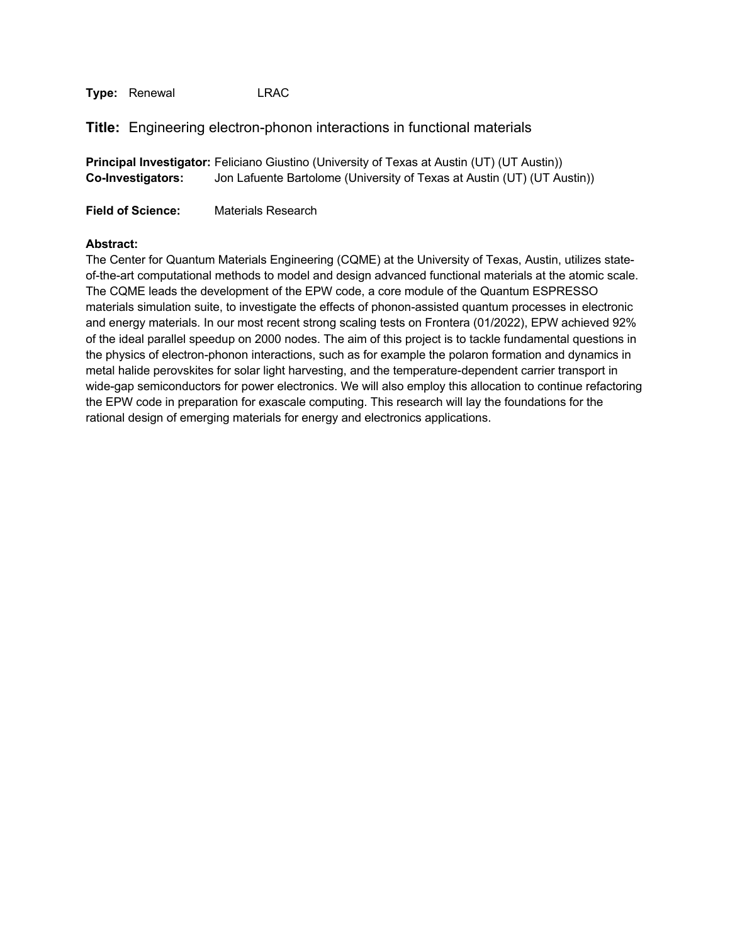**Title:** Engineering electron-phonon interactions in functional materials

|                          | <b>Principal Investigator:</b> Feliciano Giustino (University of Texas at Austin (UT) (UT Austin)) |
|--------------------------|----------------------------------------------------------------------------------------------------|
| <b>Co-Investigators:</b> | Jon Lafuente Bartolome (University of Texas at Austin (UT) (UT Austin))                            |

**Field of Science:** Materials Research

#### **Abstract:**

The Center for Quantum Materials Engineering (CQME) at the University of Texas, Austin, utilizes stateof-the-art computational methods to model and design advanced functional materials at the atomic scale. The CQME leads the development of the EPW code, a core module of the Quantum ESPRESSO materials simulation suite, to investigate the effects of phonon-assisted quantum processes in electronic and energy materials. In our most recent strong scaling tests on Frontera (01/2022), EPW achieved 92% of the ideal parallel speedup on 2000 nodes. The aim of this project is to tackle fundamental questions in the physics of electron-phonon interactions, such as for example the polaron formation and dynamics in metal halide perovskites for solar light harvesting, and the temperature-dependent carrier transport in wide-gap semiconductors for power electronics. We will also employ this allocation to continue refactoring the EPW code in preparation for exascale computing. This research will lay the foundations for the rational design of emerging materials for energy and electronics applications.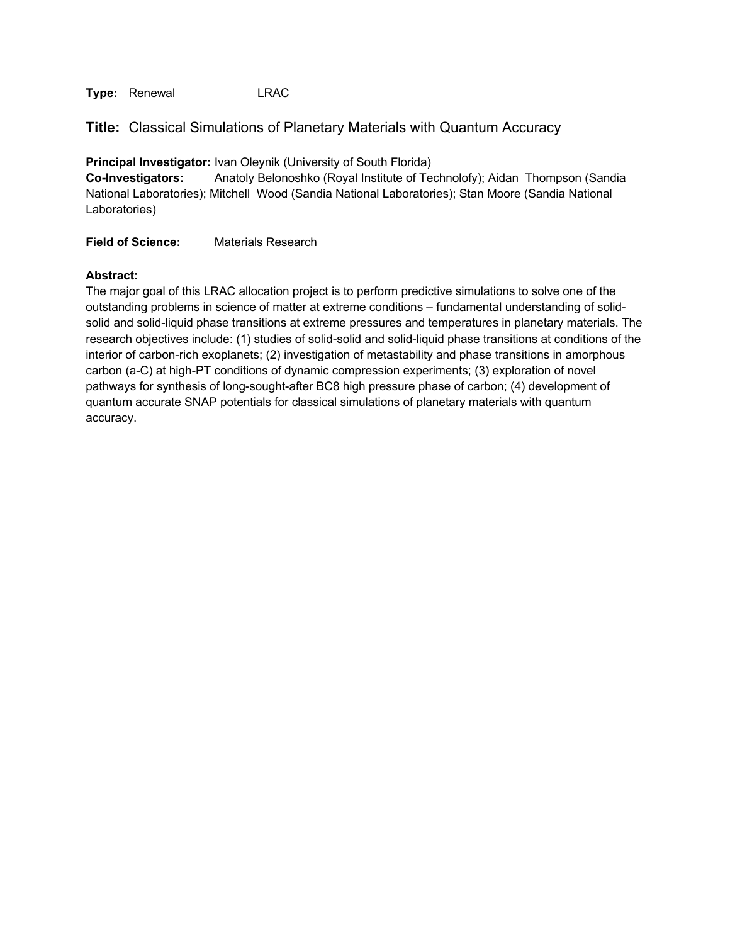**Title:** Classical Simulations of Planetary Materials with Quantum Accuracy

**Principal Investigator:** Ivan Oleynik (University of South Florida)

**Co-Investigators:** Anatoly Belonoshko (Royal Institute of Technolofy); Aidan Thompson (Sandia National Laboratories); Mitchell Wood (Sandia National Laboratories); Stan Moore (Sandia National Laboratories)

**Field of Science:** Materials Research

#### **Abstract:**

The major goal of this LRAC allocation project is to perform predictive simulations to solve one of the outstanding problems in science of matter at extreme conditions – fundamental understanding of solidsolid and solid-liquid phase transitions at extreme pressures and temperatures in planetary materials. The research objectives include: (1) studies of solid-solid and solid-liquid phase transitions at conditions of the interior of carbon-rich exoplanets; (2) investigation of metastability and phase transitions in amorphous carbon (a-C) at high-PT conditions of dynamic compression experiments; (3) exploration of novel pathways for synthesis of long-sought-after BC8 high pressure phase of carbon; (4) development of quantum accurate SNAP potentials for classical simulations of planetary materials with quantum accuracy.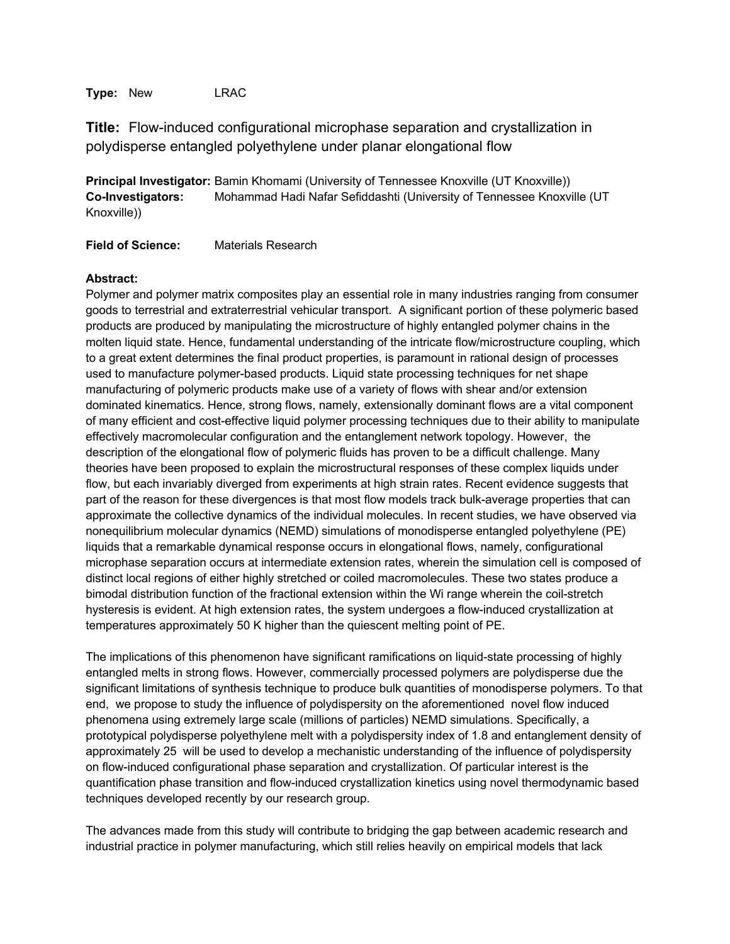**Type:** New LRAC

**Title:** Flow-induced configurational microphase separation and crystallization in polydisperse entangled polyethylene under planar elongational flow

**Principal Investigator:** Bamin Khomami (University of Tennessee Knoxville (UT Knoxville)) **Co-Investigators:** Mohammad Hadi Nafar Sefiddashti (University of Tennessee Knoxville (UT Knoxville))

**Field of Science:** Materials Research

#### **Abstract:**

Polymer and polymer matrix composites play an essential role in many industries ranging from consumer goods to terrestrial and extraterrestrial vehicular transport. A significant portion of these polymeric based products are produced by manipulating the microstructure of highly entangled polymer chains in the molten liquid state. Hence, fundamental understanding of the intricate flow/microstructure coupling, which to a great extent determines the final product properties, is paramount in rational design of processes used to manufacture polymer-based products. Liquid state processing techniques for net shape manufacturing of polymeric products make use of a variety of flows with shear and/or extension dominated kinematics. Hence, strong flows, namely, extensionally dominant flows are a vital component of many efficient and cost-effective liquid polymer processing techniques due to their ability to manipulate effectively macromolecular configuration and the entanglement network topology. However, the description of the elongational flow of polymeric fluids has proven to be a difficult challenge. Many theories have been proposed to explain the microstructural responses of these complex liquids under flow, but each invariably diverged from experiments at high strain rates. Recent evidence suggests that part of the reason for these divergences is that most flow models track bulk-average properties that can approximate the collective dynamics of the individual molecules. In recent studies, we have observed via nonequilibrium molecular dynamics (NEMD) simulations of monodisperse entangled polyethylene (PE) liquids that a remarkable dynamical response occurs in elongational flows, namely, configurational microphase separation occurs at intermediate extension rates, wherein the simulation cell is composed of distinct local regions of either highly stretched or coiled macromolecules. These two states produce a bimodal distribution function of the fractional extension within the Wi range wherein the coil-stretch hysteresis is evident. At high extension rates, the system undergoes a flow-induced crystallization at temperatures approximately 50 K higher than the quiescent melting point of PE.

The implications of this phenomenon have significant ramifications on liquid-state processing of highly entangled melts in strong flows. However, commercially processed polymers are polydisperse due the significant limitations of synthesis technique to produce bulk quantities of monodisperse polymers. To that end, we propose to study the influence of polydispersity on the aforementioned novel flow induced phenomena using extremely large scale (millions of particles) NEMD simulations. Specifically, a prototypical polydisperse polyethylene melt with a polydispersity index of 1.8 and entanglement density of approximately 25 will be used to develop a mechanistic understanding of the influence of polydispersity on flow-induced configurational phase separation and crystallization. Of particular interest is the quantification phase transition and flow-induced crystallization kinetics using novel thermodynamic based techniques developed recently by our research group.

The advances made from this study will contribute to bridging the gap between academic research and industrial practice in polymer manufacturing, which still relies heavily on empirical models that lack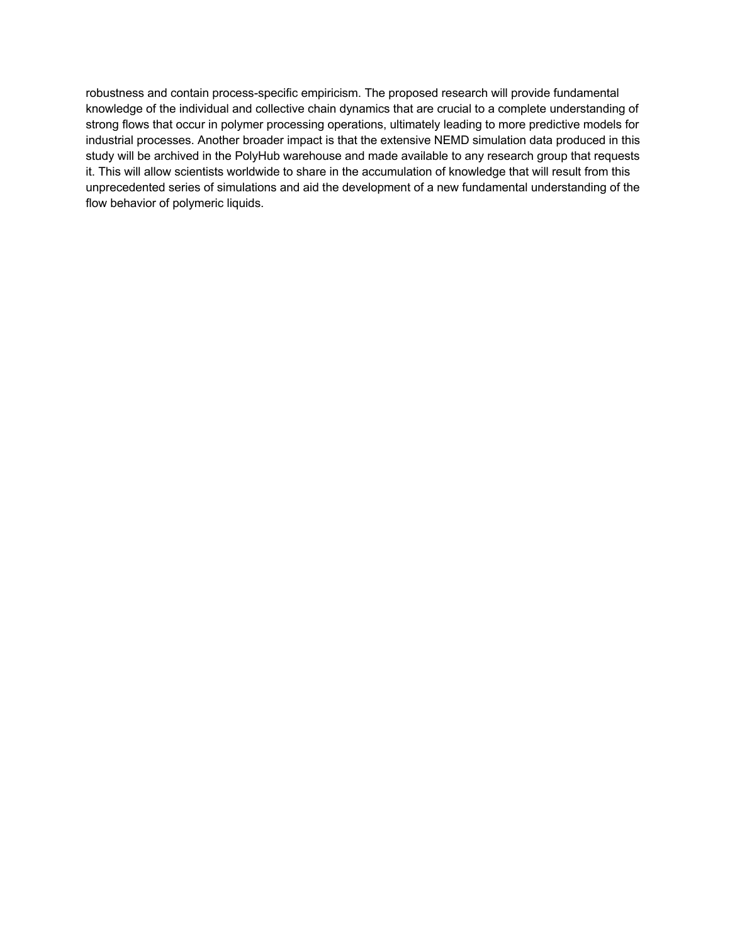robustness and contain process-specific empiricism. The proposed research will provide fundamental knowledge of the individual and collective chain dynamics that are crucial to a complete understanding of strong flows that occur in polymer processing operations, ultimately leading to more predictive models for industrial processes. Another broader impact is that the extensive NEMD simulation data produced in this study will be archived in the PolyHub warehouse and made available to any research group that requests it. This will allow scientists worldwide to share in the accumulation of knowledge that will result from this unprecedented series of simulations and aid the development of a new fundamental understanding of the flow behavior of polymeric liquids.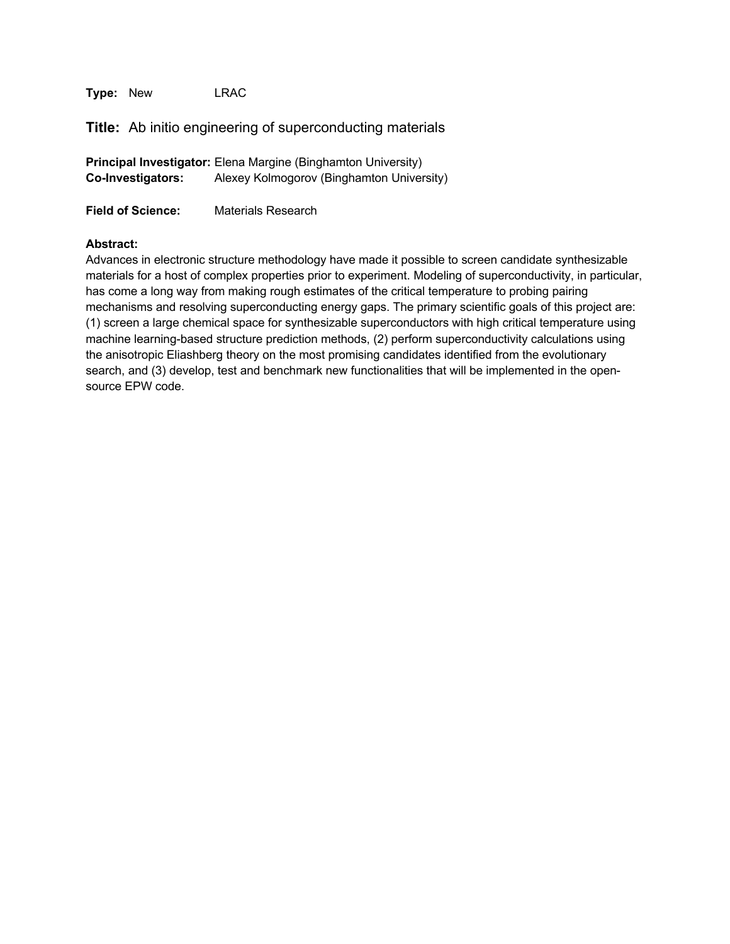**Type:** New LRAC

**Title:** Ab initio engineering of superconducting materials

|                          | <b>Principal Investigator:</b> Elena Margine (Binghamton University) |
|--------------------------|----------------------------------------------------------------------|
| <b>Co-Investigators:</b> | Alexey Kolmogorov (Binghamton University)                            |

**Field of Science:** Materials Research

## **Abstract:**

Advances in electronic structure methodology have made it possible to screen candidate synthesizable materials for a host of complex properties prior to experiment. Modeling of superconductivity, in particular, has come a long way from making rough estimates of the critical temperature to probing pairing mechanisms and resolving superconducting energy gaps. The primary scientific goals of this project are: (1) screen a large chemical space for synthesizable superconductors with high critical temperature using machine learning-based structure prediction methods, (2) perform superconductivity calculations using the anisotropic Eliashberg theory on the most promising candidates identified from the evolutionary search, and (3) develop, test and benchmark new functionalities that will be implemented in the opensource EPW code.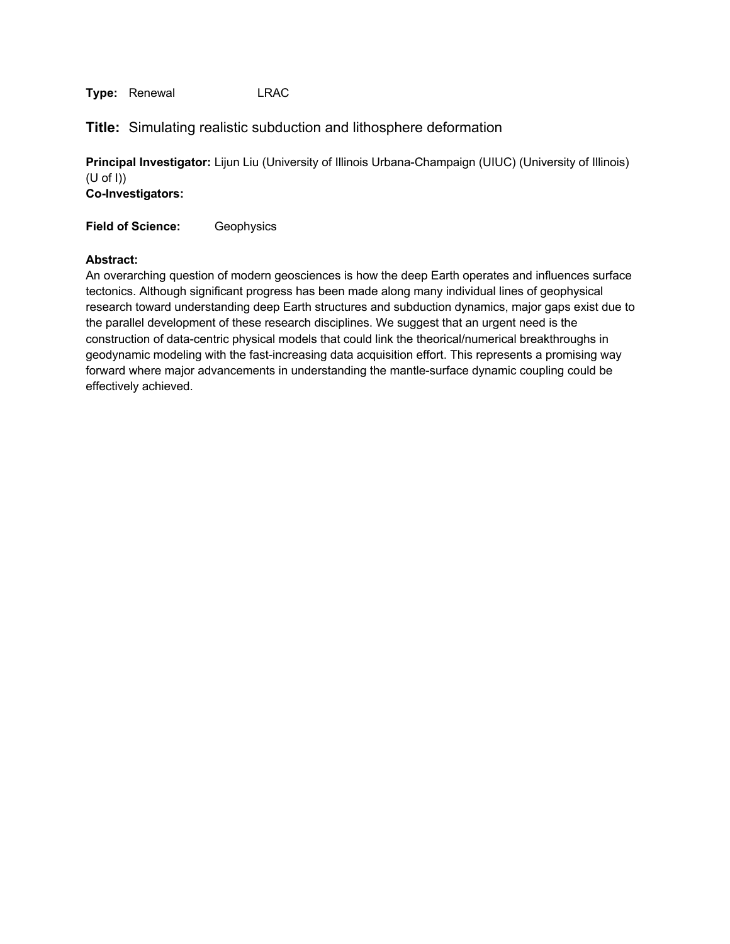**Title:** Simulating realistic subduction and lithosphere deformation

**Principal Investigator:** Lijun Liu (University of Illinois Urbana-Champaign (UIUC) (University of Illinois) (U of I)) **Co-Investigators:**

**Field of Science:** Geophysics

## **Abstract:**

An overarching question of modern geosciences is how the deep Earth operates and influences surface tectonics. Although significant progress has been made along many individual lines of geophysical research toward understanding deep Earth structures and subduction dynamics, major gaps exist due to the parallel development of these research disciplines. We suggest that an urgent need is the construction of data-centric physical models that could link the theorical/numerical breakthroughs in geodynamic modeling with the fast-increasing data acquisition effort. This represents a promising way forward where major advancements in understanding the mantle-surface dynamic coupling could be effectively achieved.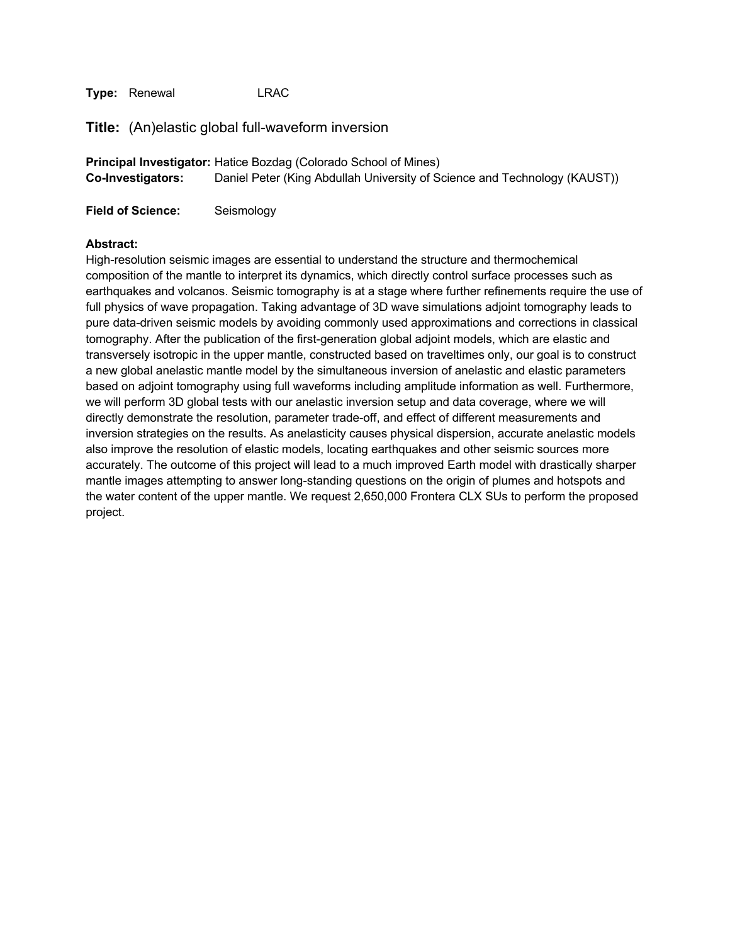**Title:** (An)elastic global full-waveform inversion

**Principal Investigator:** Hatice Bozdag (Colorado School of Mines) **Co-Investigators:** Daniel Peter (King Abdullah University of Science and Technology (KAUST))

**Field of Science:** Seismology

#### **Abstract:**

High-resolution seismic images are essential to understand the structure and thermochemical composition of the mantle to interpret its dynamics, which directly control surface processes such as earthquakes and volcanos. Seismic tomography is at a stage where further refinements require the use of full physics of wave propagation. Taking advantage of 3D wave simulations adjoint tomography leads to pure data-driven seismic models by avoiding commonly used approximations and corrections in classical tomography. After the publication of the first-generation global adjoint models, which are elastic and transversely isotropic in the upper mantle, constructed based on traveltimes only, our goal is to construct a new global anelastic mantle model by the simultaneous inversion of anelastic and elastic parameters based on adjoint tomography using full waveforms including amplitude information as well. Furthermore, we will perform 3D global tests with our anelastic inversion setup and data coverage, where we will directly demonstrate the resolution, parameter trade-off, and effect of different measurements and inversion strategies on the results. As anelasticity causes physical dispersion, accurate anelastic models also improve the resolution of elastic models, locating earthquakes and other seismic sources more accurately. The outcome of this project will lead to a much improved Earth model with drastically sharper mantle images attempting to answer long-standing questions on the origin of plumes and hotspots and the water content of the upper mantle. We request 2,650,000 Frontera CLX SUs to perform the proposed project.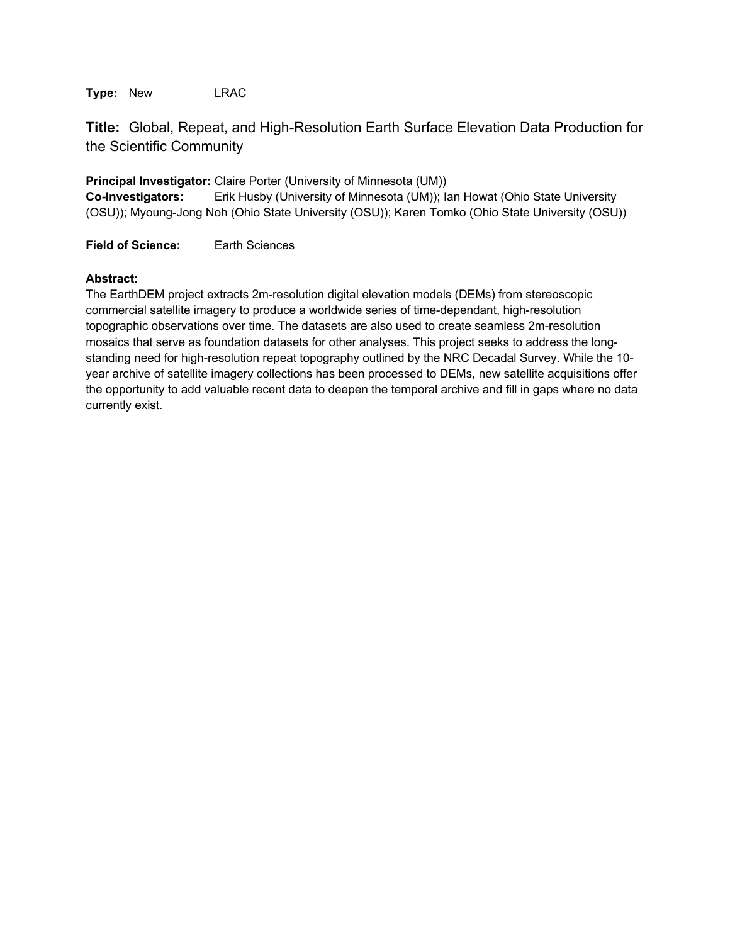**Type:** New LRAC

**Title:** Global, Repeat, and High-Resolution Earth Surface Elevation Data Production for the Scientific Community

**Principal Investigator:** Claire Porter (University of Minnesota (UM))

**Co-Investigators:** Erik Husby (University of Minnesota (UM)); Ian Howat (Ohio State University (OSU)); Myoung-Jong Noh (Ohio State University (OSU)); Karen Tomko (Ohio State University (OSU))

**Field of Science:** Earth Sciences

## **Abstract:**

The EarthDEM project extracts 2m-resolution digital elevation models (DEMs) from stereoscopic commercial satellite imagery to produce a worldwide series of time-dependant, high-resolution topographic observations over time. The datasets are also used to create seamless 2m-resolution mosaics that serve as foundation datasets for other analyses. This project seeks to address the longstanding need for high-resolution repeat topography outlined by the NRC Decadal Survey. While the 10 year archive of satellite imagery collections has been processed to DEMs, new satellite acquisitions offer the opportunity to add valuable recent data to deepen the temporal archive and fill in gaps where no data currently exist.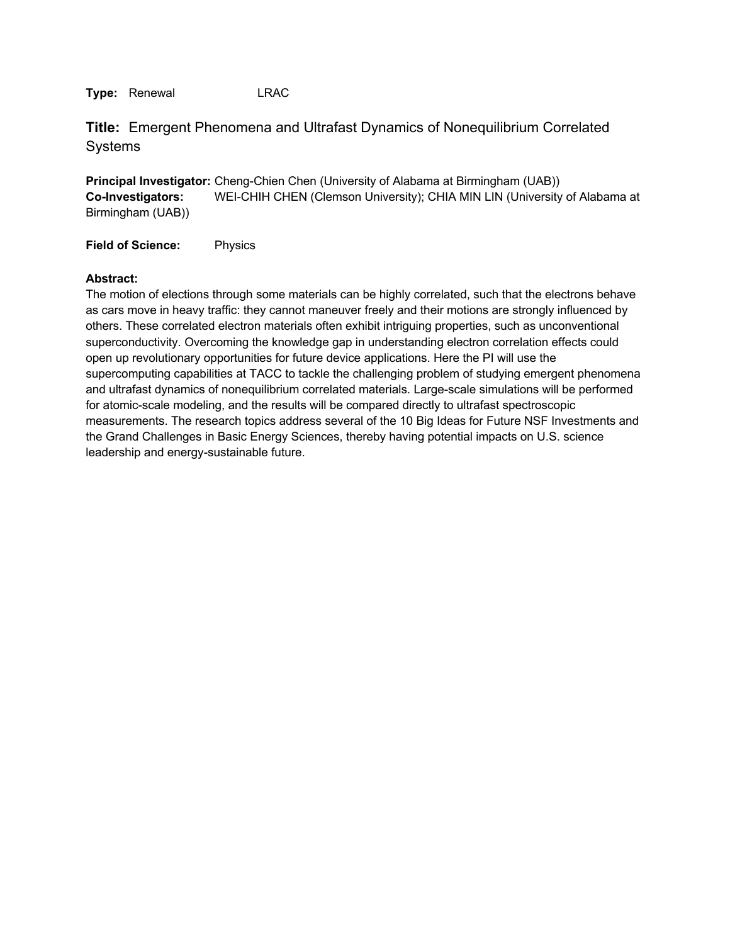**Title:** Emergent Phenomena and Ultrafast Dynamics of Nonequilibrium Correlated **Systems** 

**Principal Investigator:** Cheng-Chien Chen (University of Alabama at Birmingham (UAB)) **Co-Investigators:** WEI-CHIH CHEN (Clemson University); CHIA MIN LIN (University of Alabama at Birmingham (UAB))

**Field of Science:** Physics

#### **Abstract:**

The motion of elections through some materials can be highly correlated, such that the electrons behave as cars move in heavy traffic: they cannot maneuver freely and their motions are strongly influenced by others. These correlated electron materials often exhibit intriguing properties, such as unconventional superconductivity. Overcoming the knowledge gap in understanding electron correlation effects could open up revolutionary opportunities for future device applications. Here the PI will use the supercomputing capabilities at TACC to tackle the challenging problem of studying emergent phenomena and ultrafast dynamics of nonequilibrium correlated materials. Large-scale simulations will be performed for atomic-scale modeling, and the results will be compared directly to ultrafast spectroscopic measurements. The research topics address several of the 10 Big Ideas for Future NSF Investments and the Grand Challenges in Basic Energy Sciences, thereby having potential impacts on U.S. science leadership and energy-sustainable future.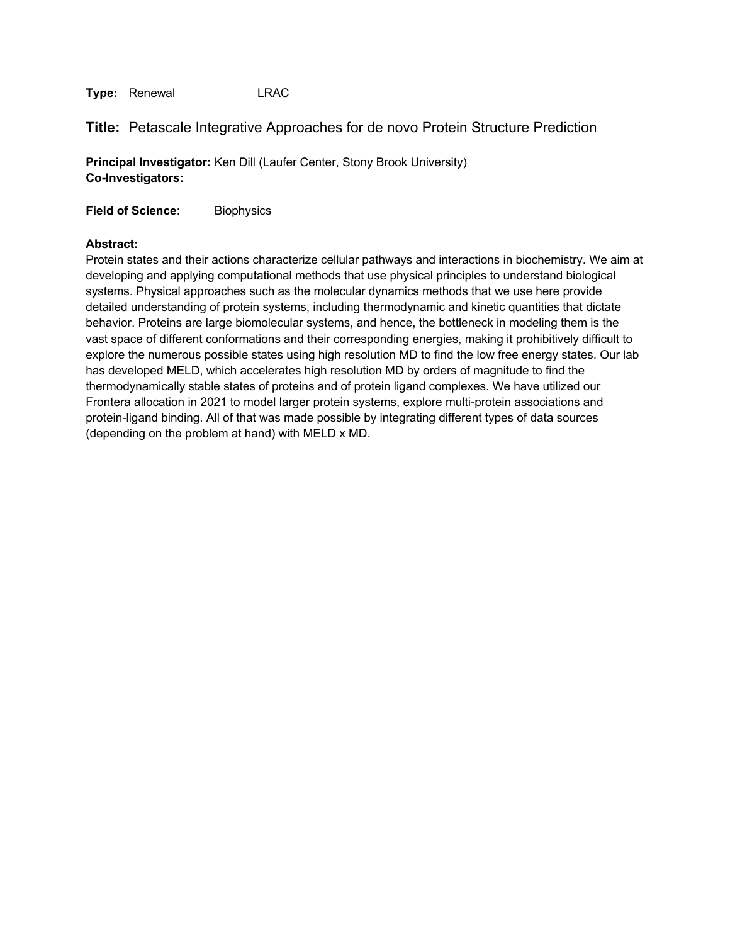## **Title:** Petascale Integrative Approaches for de novo Protein Structure Prediction

**Principal Investigator:** Ken Dill (Laufer Center, Stony Brook University) **Co-Investigators:**

**Field of Science:** Biophysics

#### **Abstract:**

Protein states and their actions characterize cellular pathways and interactions in biochemistry. We aim at developing and applying computational methods that use physical principles to understand biological systems. Physical approaches such as the molecular dynamics methods that we use here provide detailed understanding of protein systems, including thermodynamic and kinetic quantities that dictate behavior. Proteins are large biomolecular systems, and hence, the bottleneck in modeling them is the vast space of different conformations and their corresponding energies, making it prohibitively difficult to explore the numerous possible states using high resolution MD to find the low free energy states. Our lab has developed MELD, which accelerates high resolution MD by orders of magnitude to find the thermodynamically stable states of proteins and of protein ligand complexes. We have utilized our Frontera allocation in 2021 to model larger protein systems, explore multi-protein associations and protein-ligand binding. All of that was made possible by integrating different types of data sources (depending on the problem at hand) with MELD x MD.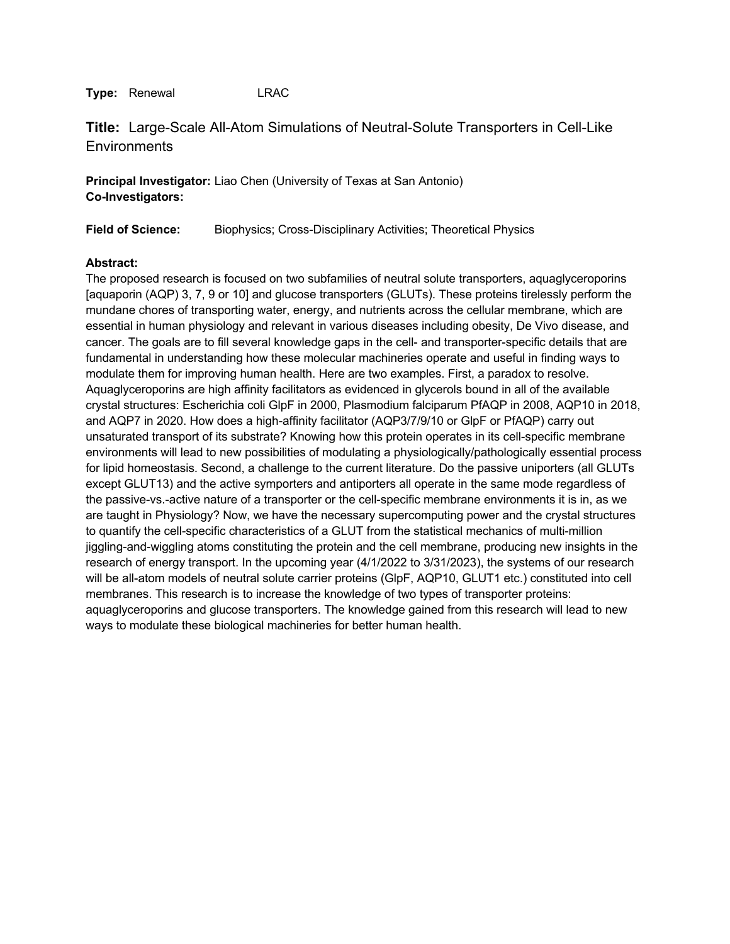# **Title:** Large-Scale All-Atom Simulations of Neutral-Solute Transporters in Cell-Like **Environments**

**Principal Investigator:** Liao Chen (University of Texas at San Antonio) **Co-Investigators:**

**Field of Science:** Biophysics; Cross-Disciplinary Activities; Theoretical Physics

## **Abstract:**

The proposed research is focused on two subfamilies of neutral solute transporters, aquaglyceroporins [aquaporin (AQP) 3, 7, 9 or 10] and glucose transporters (GLUTs). These proteins tirelessly perform the mundane chores of transporting water, energy, and nutrients across the cellular membrane, which are essential in human physiology and relevant in various diseases including obesity, De Vivo disease, and cancer. The goals are to fill several knowledge gaps in the cell- and transporter-specific details that are fundamental in understanding how these molecular machineries operate and useful in finding ways to modulate them for improving human health. Here are two examples. First, a paradox to resolve. Aquaglyceroporins are high affinity facilitators as evidenced in glycerols bound in all of the available crystal structures: Escherichia coli GlpF in 2000, Plasmodium falciparum PfAQP in 2008, AQP10 in 2018, and AQP7 in 2020. How does a high-affinity facilitator (AQP3/7/9/10 or GlpF or PfAQP) carry out unsaturated transport of its substrate? Knowing how this protein operates in its cell-specific membrane environments will lead to new possibilities of modulating a physiologically/pathologically essential process for lipid homeostasis. Second, a challenge to the current literature. Do the passive uniporters (all GLUTs except GLUT13) and the active symporters and antiporters all operate in the same mode regardless of the passive-vs.-active nature of a transporter or the cell-specific membrane environments it is in, as we are taught in Physiology? Now, we have the necessary supercomputing power and the crystal structures to quantify the cell-specific characteristics of a GLUT from the statistical mechanics of multi-million jiggling-and-wiggling atoms constituting the protein and the cell membrane, producing new insights in the research of energy transport. In the upcoming year (4/1/2022 to 3/31/2023), the systems of our research will be all-atom models of neutral solute carrier proteins (GlpF, AQP10, GLUT1 etc.) constituted into cell membranes. This research is to increase the knowledge of two types of transporter proteins: aquaglyceroporins and glucose transporters. The knowledge gained from this research will lead to new ways to modulate these biological machineries for better human health.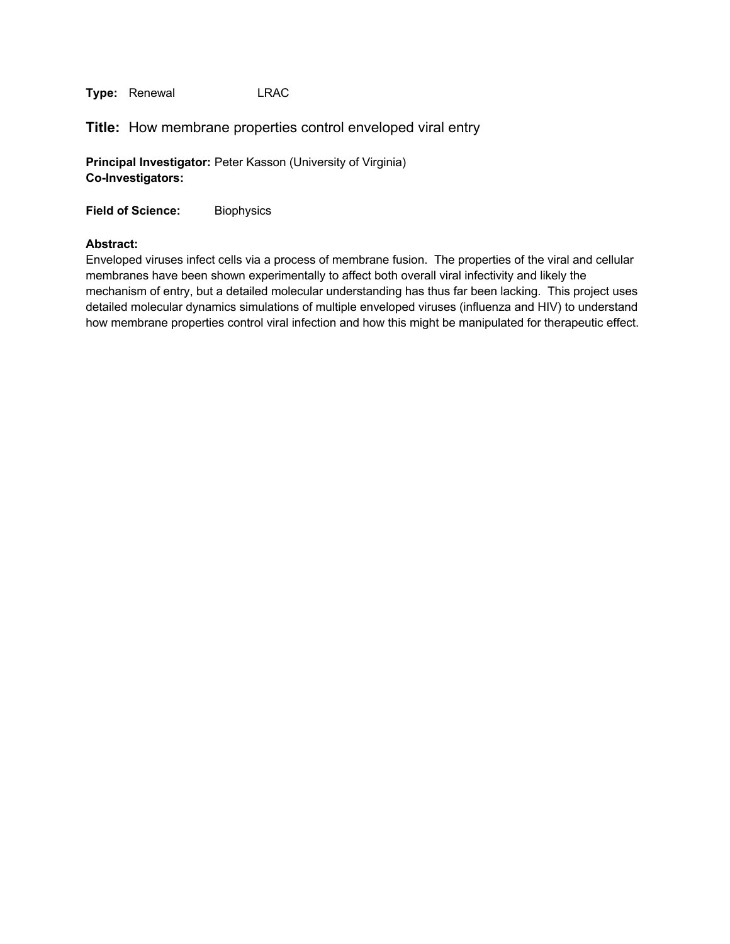**Title:** How membrane properties control enveloped viral entry

**Principal Investigator:** Peter Kasson (University of Virginia) **Co-Investigators:**

**Field of Science:** Biophysics

#### **Abstract:**

Enveloped viruses infect cells via a process of membrane fusion. The properties of the viral and cellular membranes have been shown experimentally to affect both overall viral infectivity and likely the mechanism of entry, but a detailed molecular understanding has thus far been lacking. This project uses detailed molecular dynamics simulations of multiple enveloped viruses (influenza and HIV) to understand how membrane properties control viral infection and how this might be manipulated for therapeutic effect.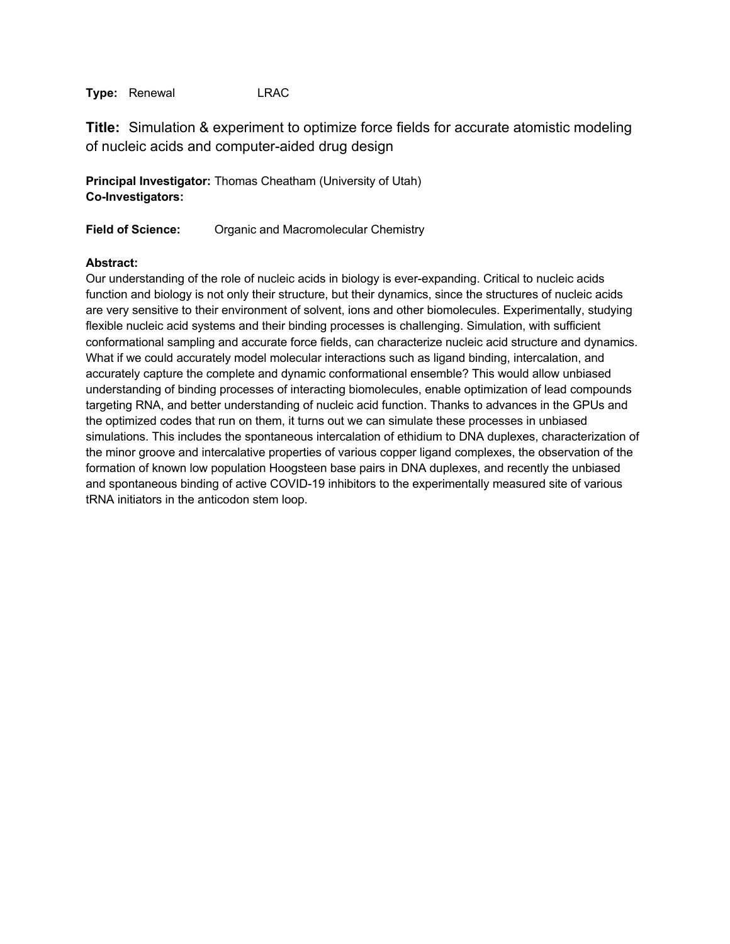**Title:** Simulation & experiment to optimize force fields for accurate atomistic modeling of nucleic acids and computer-aided drug design

**Principal Investigator:** Thomas Cheatham (University of Utah) **Co-Investigators:**

**Field of Science:** Organic and Macromolecular Chemistry

## **Abstract:**

Our understanding of the role of nucleic acids in biology is ever-expanding. Critical to nucleic acids function and biology is not only their structure, but their dynamics, since the structures of nucleic acids are very sensitive to their environment of solvent, ions and other biomolecules. Experimentally, studying flexible nucleic acid systems and their binding processes is challenging. Simulation, with sufficient conformational sampling and accurate force fields, can characterize nucleic acid structure and dynamics. What if we could accurately model molecular interactions such as ligand binding, intercalation, and accurately capture the complete and dynamic conformational ensemble? This would allow unbiased understanding of binding processes of interacting biomolecules, enable optimization of lead compounds targeting RNA, and better understanding of nucleic acid function. Thanks to advances in the GPUs and the optimized codes that run on them, it turns out we can simulate these processes in unbiased simulations. This includes the spontaneous intercalation of ethidium to DNA duplexes, characterization of the minor groove and intercalative properties of various copper ligand complexes, the observation of the formation of known low population Hoogsteen base pairs in DNA duplexes, and recently the unbiased and spontaneous binding of active COVID-19 inhibitors to the experimentally measured site of various tRNA initiators in the anticodon stem loop.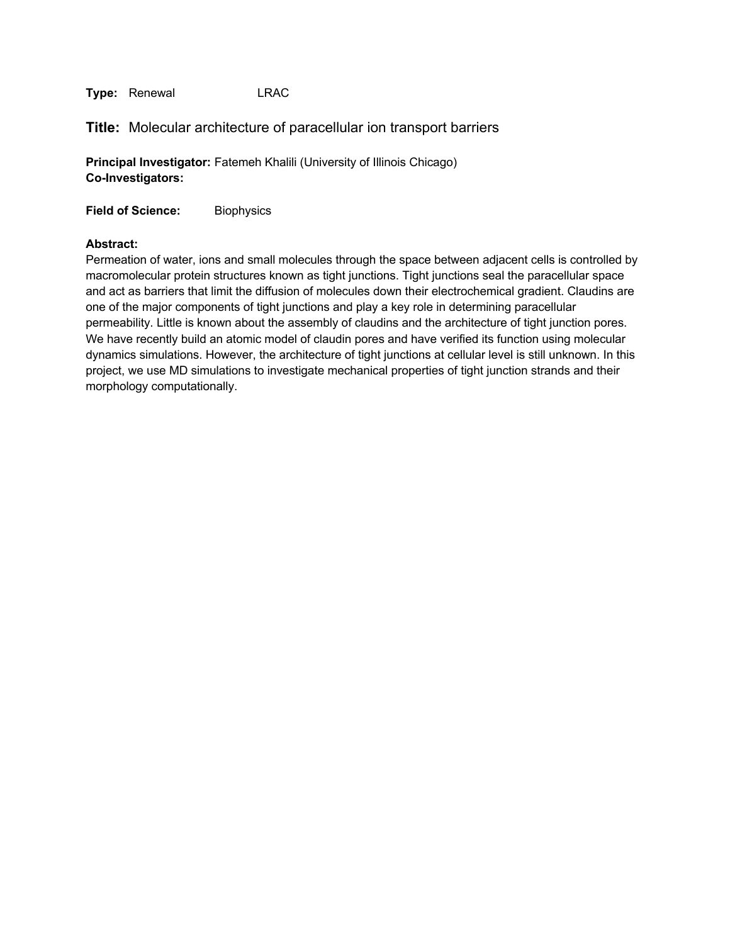## **Title:** Molecular architecture of paracellular ion transport barriers

**Principal Investigator:** Fatemeh Khalili (University of Illinois Chicago) **Co-Investigators:**

**Field of Science:** Biophysics

#### **Abstract:**

Permeation of water, ions and small molecules through the space between adjacent cells is controlled by macromolecular protein structures known as tight junctions. Tight junctions seal the paracellular space and act as barriers that limit the diffusion of molecules down their electrochemical gradient. Claudins are one of the major components of tight junctions and play a key role in determining paracellular permeability. Little is known about the assembly of claudins and the architecture of tight junction pores. We have recently build an atomic model of claudin pores and have verified its function using molecular dynamics simulations. However, the architecture of tight junctions at cellular level is still unknown. In this project, we use MD simulations to investigate mechanical properties of tight junction strands and their morphology computationally.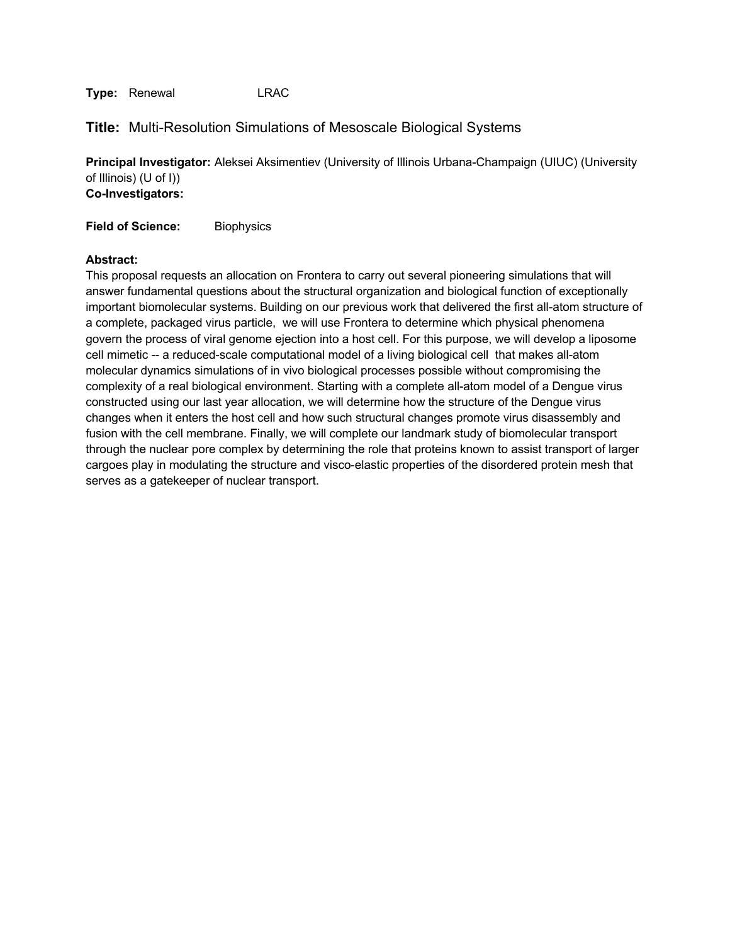## **Title:** Multi-Resolution Simulations of Mesoscale Biological Systems

**Principal Investigator:** Aleksei Aksimentiev (University of Illinois Urbana-Champaign (UIUC) (University of Illinois) (U of I)) **Co-Investigators:**

**Field of Science:** Biophysics

#### **Abstract:**

This proposal requests an allocation on Frontera to carry out several pioneering simulations that will answer fundamental questions about the structural organization and biological function of exceptionally important biomolecular systems. Building on our previous work that delivered the first all-atom structure of a complete, packaged virus particle, we will use Frontera to determine which physical phenomena govern the process of viral genome ejection into a host cell. For this purpose, we will develop a liposome cell mimetic -- a reduced-scale computational model of a living biological cell that makes all-atom molecular dynamics simulations of in vivo biological processes possible without compromising the complexity of a real biological environment. Starting with a complete all-atom model of a Dengue virus constructed using our last year allocation, we will determine how the structure of the Dengue virus changes when it enters the host cell and how such structural changes promote virus disassembly and fusion with the cell membrane. Finally, we will complete our landmark study of biomolecular transport through the nuclear pore complex by determining the role that proteins known to assist transport of larger cargoes play in modulating the structure and visco-elastic properties of the disordered protein mesh that serves as a gatekeeper of nuclear transport.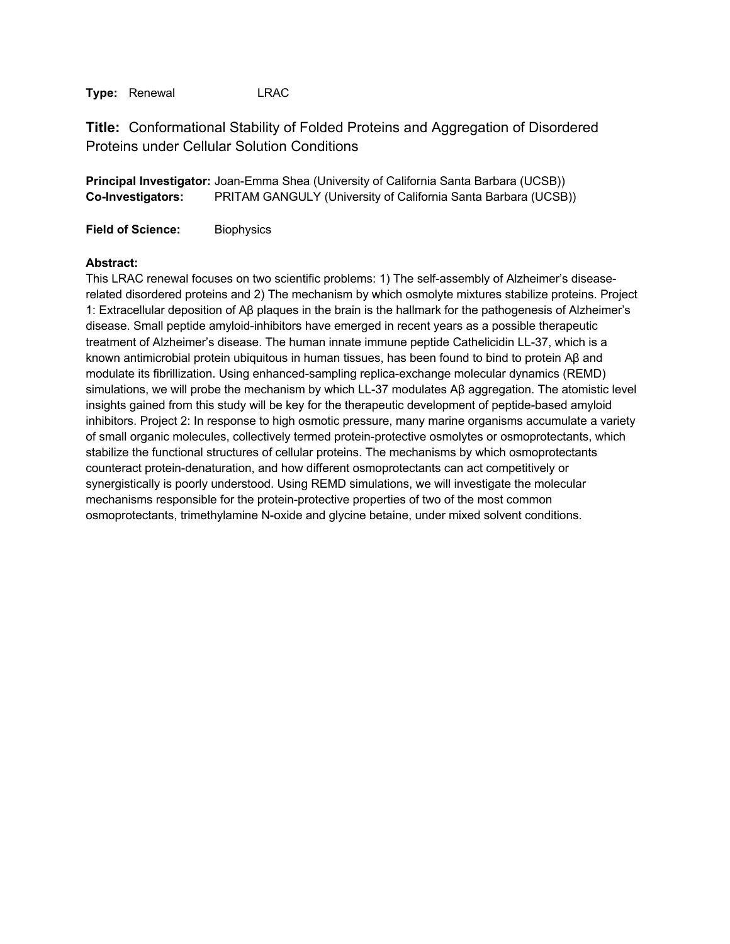**Title:** Conformational Stability of Folded Proteins and Aggregation of Disordered Proteins under Cellular Solution Conditions

**Principal Investigator:** Joan-Emma Shea (University of California Santa Barbara (UCSB)) **Co-Investigators:** PRITAM GANGULY (University of California Santa Barbara (UCSB))

**Field of Science:** Biophysics

#### **Abstract:**

This LRAC renewal focuses on two scientific problems: 1) The self-assembly of Alzheimer's diseaserelated disordered proteins and 2) The mechanism by which osmolyte mixtures stabilize proteins. Project 1: Extracellular deposition of Aβ plaques in the brain is the hallmark for the pathogenesis of Alzheimer's disease. Small peptide amyloid-inhibitors have emerged in recent years as a possible therapeutic treatment of Alzheimer's disease. The human innate immune peptide Cathelicidin LL-37, which is a known antimicrobial protein ubiquitous in human tissues, has been found to bind to protein Aβ and modulate its fibrillization. Using enhanced-sampling replica-exchange molecular dynamics (REMD) simulations, we will probe the mechanism by which LL-37 modulates Aβ aggregation. The atomistic level insights gained from this study will be key for the therapeutic development of peptide-based amyloid inhibitors. Project 2: In response to high osmotic pressure, many marine organisms accumulate a variety of small organic molecules, collectively termed protein-protective osmolytes or osmoprotectants, which stabilize the functional structures of cellular proteins. The mechanisms by which osmoprotectants counteract protein-denaturation, and how different osmoprotectants can act competitively or synergistically is poorly understood. Using REMD simulations, we will investigate the molecular mechanisms responsible for the protein-protective properties of two of the most common osmoprotectants, trimethylamine N-oxide and glycine betaine, under mixed solvent conditions.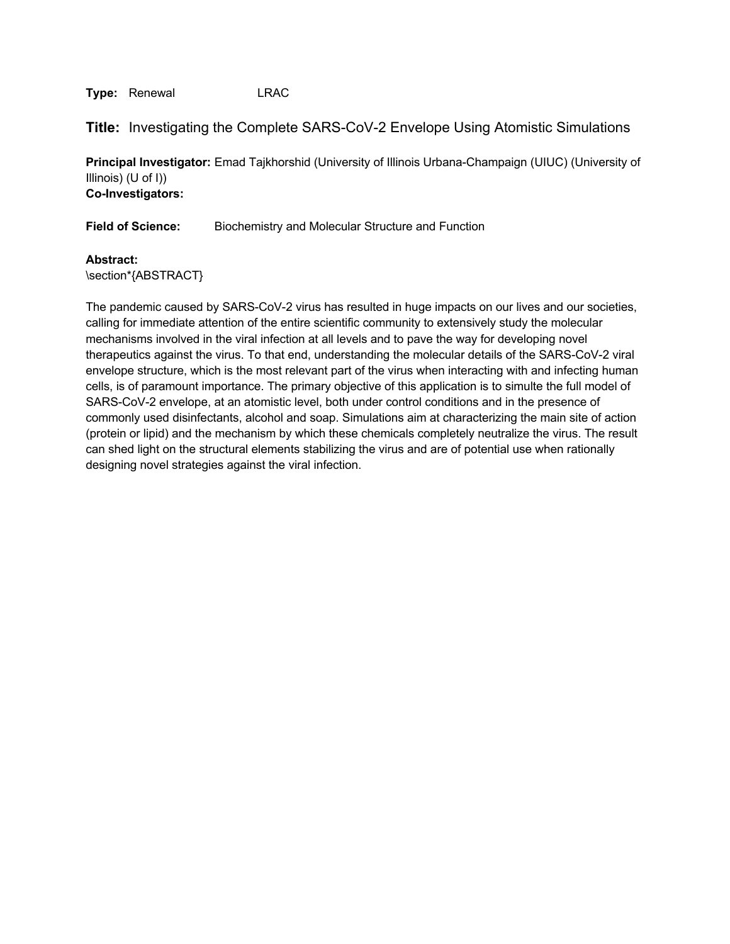**Title:** Investigating the Complete SARS-CoV-2 Envelope Using Atomistic Simulations

**Principal Investigator:** Emad Tajkhorshid (University of Illinois Urbana-Champaign (UIUC) (University of Illinois) (U of I)) **Co-Investigators:**

**Field of Science:** Biochemistry and Molecular Structure and Function

**Abstract:**

\section\*{ABSTRACT}

The pandemic caused by SARS-CoV-2 virus has resulted in huge impacts on our lives and our societies, calling for immediate attention of the entire scientific community to extensively study the molecular mechanisms involved in the viral infection at all levels and to pave the way for developing novel therapeutics against the virus. To that end, understanding the molecular details of the SARS-CoV-2 viral envelope structure, which is the most relevant part of the virus when interacting with and infecting human cells, is of paramount importance. The primary objective of this application is to simulte the full model of SARS-CoV-2 envelope, at an atomistic level, both under control conditions and in the presence of commonly used disinfectants, alcohol and soap. Simulations aim at characterizing the main site of action (protein or lipid) and the mechanism by which these chemicals completely neutralize the virus. The result can shed light on the structural elements stabilizing the virus and are of potential use when rationally designing novel strategies against the viral infection.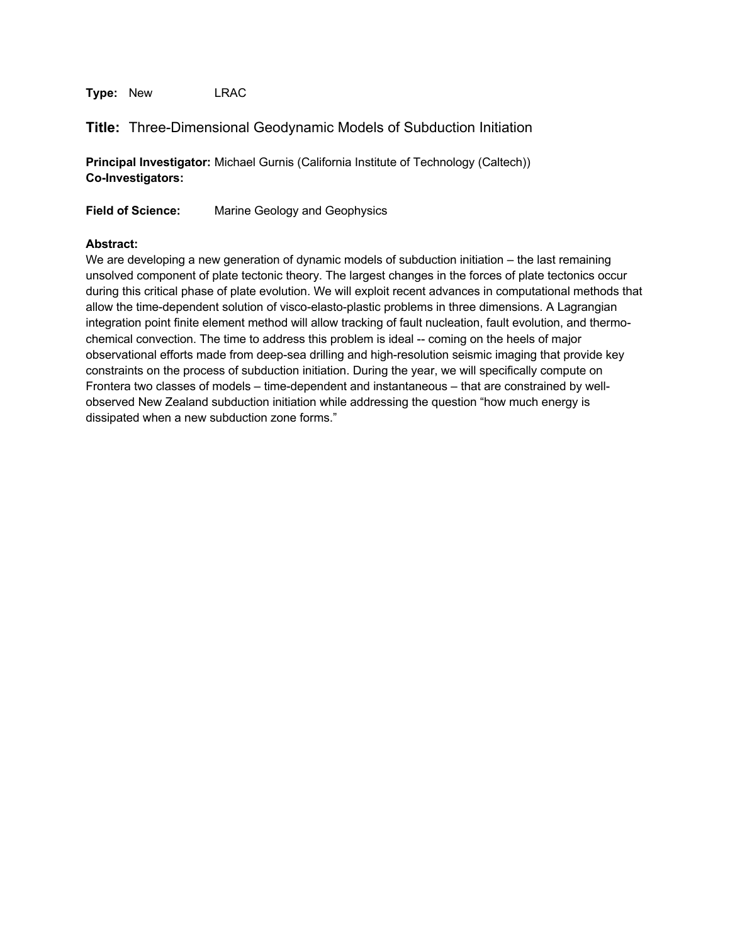**Type:** New LRAC

# **Title:** Three-Dimensional Geodynamic Models of Subduction Initiation

**Principal Investigator:** Michael Gurnis (California Institute of Technology (Caltech)) **Co-Investigators:**

**Field of Science:** Marine Geology and Geophysics

## **Abstract:**

We are developing a new generation of dynamic models of subduction initiation – the last remaining unsolved component of plate tectonic theory. The largest changes in the forces of plate tectonics occur during this critical phase of plate evolution. We will exploit recent advances in computational methods that allow the time-dependent solution of visco-elasto-plastic problems in three dimensions. A Lagrangian integration point finite element method will allow tracking of fault nucleation, fault evolution, and thermochemical convection. The time to address this problem is ideal -- coming on the heels of major observational efforts made from deep-sea drilling and high-resolution seismic imaging that provide key constraints on the process of subduction initiation. During the year, we will specifically compute on Frontera two classes of models – time-dependent and instantaneous – that are constrained by wellobserved New Zealand subduction initiation while addressing the question "how much energy is dissipated when a new subduction zone forms."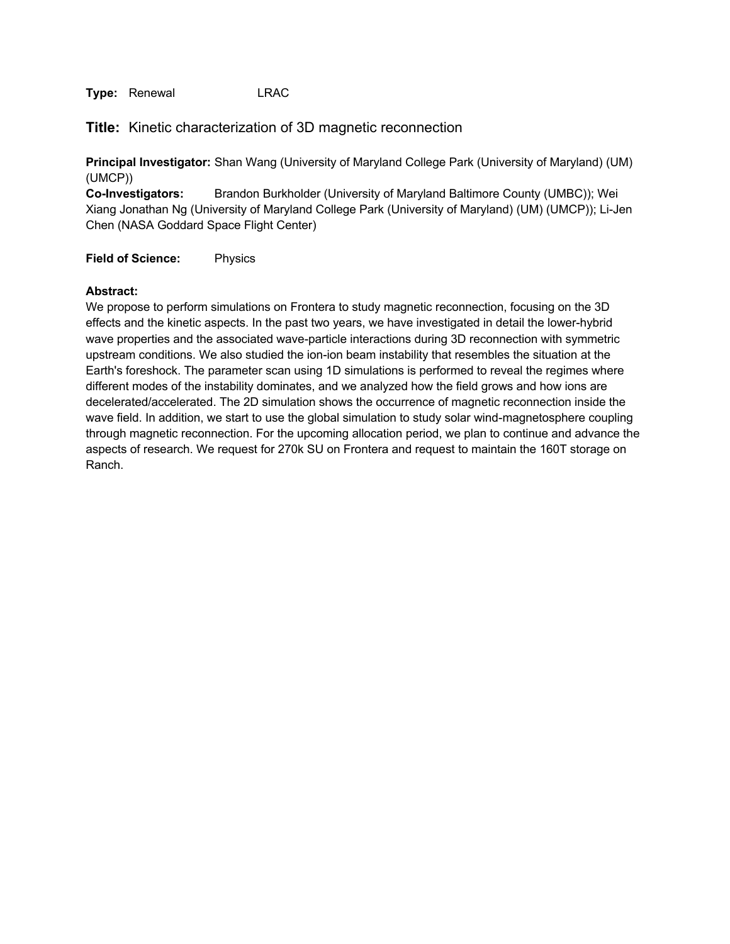**Title:** Kinetic characterization of 3D magnetic reconnection

**Principal Investigator:** Shan Wang (University of Maryland College Park (University of Maryland) (UM) (UMCP))

**Co-Investigators:** Brandon Burkholder (University of Maryland Baltimore County (UMBC)); Wei Xiang Jonathan Ng (University of Maryland College Park (University of Maryland) (UM) (UMCP)); Li-Jen Chen (NASA Goddard Space Flight Center)

**Field of Science:** Physics

#### **Abstract:**

We propose to perform simulations on Frontera to study magnetic reconnection, focusing on the 3D effects and the kinetic aspects. In the past two years, we have investigated in detail the lower-hybrid wave properties and the associated wave-particle interactions during 3D reconnection with symmetric upstream conditions. We also studied the ion-ion beam instability that resembles the situation at the Earth's foreshock. The parameter scan using 1D simulations is performed to reveal the regimes where different modes of the instability dominates, and we analyzed how the field grows and how ions are decelerated/accelerated. The 2D simulation shows the occurrence of magnetic reconnection inside the wave field. In addition, we start to use the global simulation to study solar wind-magnetosphere coupling through magnetic reconnection. For the upcoming allocation period, we plan to continue and advance the aspects of research. We request for 270k SU on Frontera and request to maintain the 160T storage on Ranch.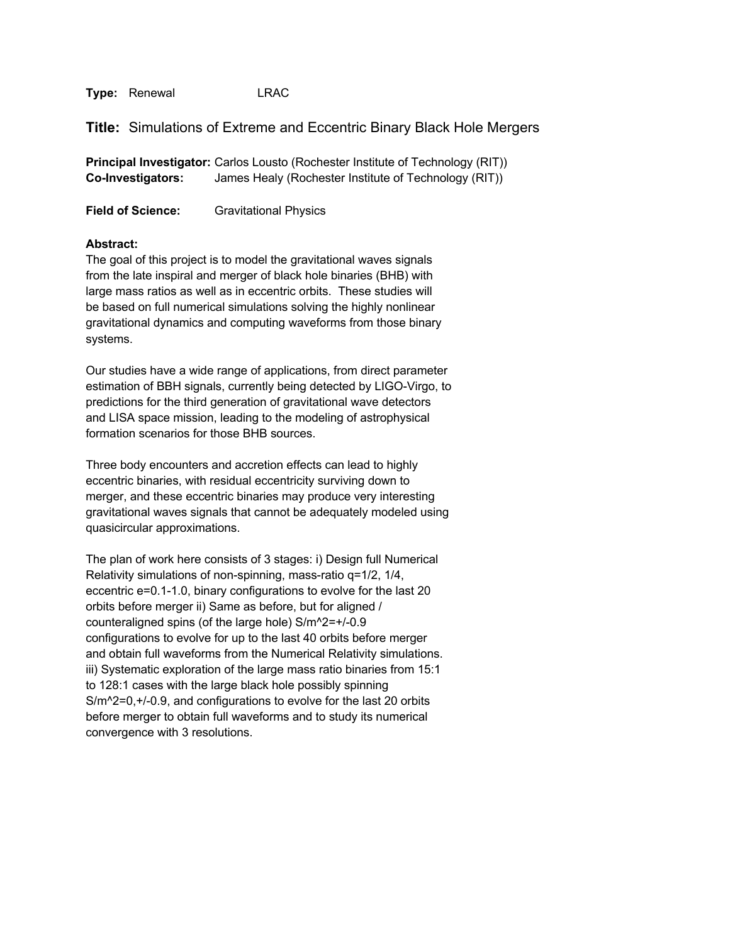**Title:** Simulations of Extreme and Eccentric Binary Black Hole Mergers

**Principal Investigator:** Carlos Lousto (Rochester Institute of Technology (RIT)) **Co-Investigators:** James Healy (Rochester Institute of Technology (RIT))

**Field of Science:** Gravitational Physics

#### **Abstract:**

The goal of this project is to model the gravitational waves signals from the late inspiral and merger of black hole binaries (BHB) with large mass ratios as well as in eccentric orbits. These studies will be based on full numerical simulations solving the highly nonlinear gravitational dynamics and computing waveforms from those binary systems.

Our studies have a wide range of applications, from direct parameter estimation of BBH signals, currently being detected by LIGO-Virgo, to predictions for the third generation of gravitational wave detectors and LISA space mission, leading to the modeling of astrophysical formation scenarios for those BHB sources.

Three body encounters and accretion effects can lead to highly eccentric binaries, with residual eccentricity surviving down to merger, and these eccentric binaries may produce very interesting gravitational waves signals that cannot be adequately modeled using quasicircular approximations.

The plan of work here consists of 3 stages: i) Design full Numerical Relativity simulations of non-spinning, mass-ratio q=1/2, 1/4, eccentric e=0.1-1.0, binary configurations to evolve for the last 20 orbits before merger ii) Same as before, but for aligned / counteraligned spins (of the large hole) S/m^2=+/-0.9 configurations to evolve for up to the last 40 orbits before merger and obtain full waveforms from the Numerical Relativity simulations. iii) Systematic exploration of the large mass ratio binaries from 15:1 to 128:1 cases with the large black hole possibly spinning S/m^2=0,+/-0.9, and configurations to evolve for the last 20 orbits before merger to obtain full waveforms and to study its numerical convergence with 3 resolutions.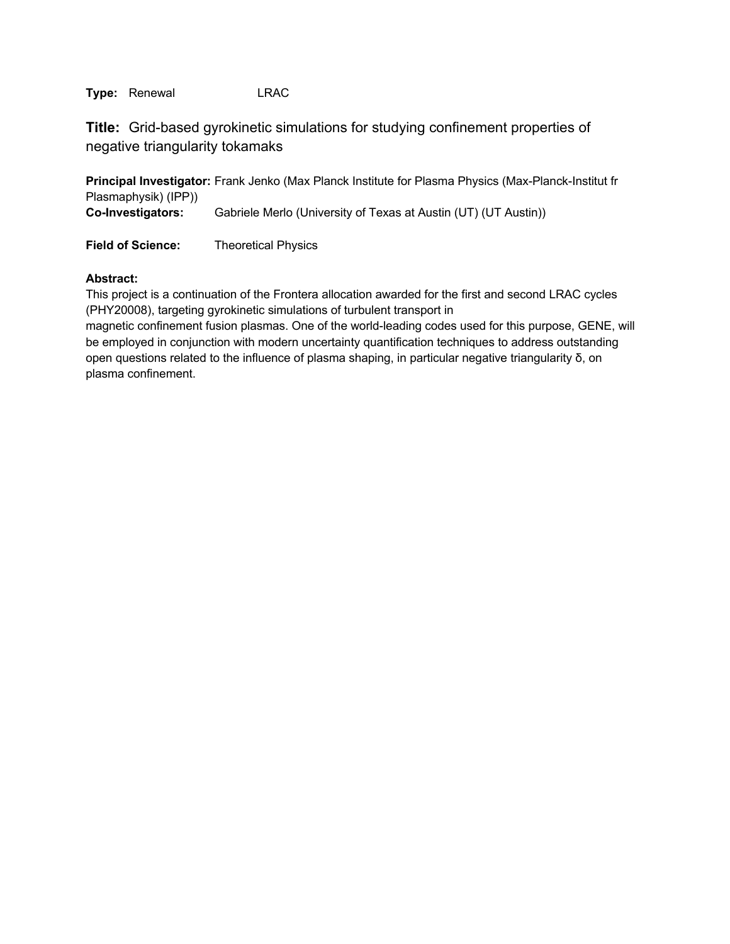**Title:** Grid-based gyrokinetic simulations for studying confinement properties of negative triangularity tokamaks

**Principal Investigator:** Frank Jenko (Max Planck Institute for Plasma Physics (Max-Planck-Institut fr Plasmaphysik) (IPP))

**Co-Investigators:** Gabriele Merlo (University of Texas at Austin (UT) (UT Austin))

**Field of Science:** Theoretical Physics

## **Abstract:**

This project is a continuation of the Frontera allocation awarded for the first and second LRAC cycles (PHY20008), targeting gyrokinetic simulations of turbulent transport in

magnetic confinement fusion plasmas. One of the world-leading codes used for this purpose, GENE, will be employed in conjunction with modern uncertainty quantification techniques to address outstanding open questions related to the influence of plasma shaping, in particular negative triangularity δ, on plasma confinement.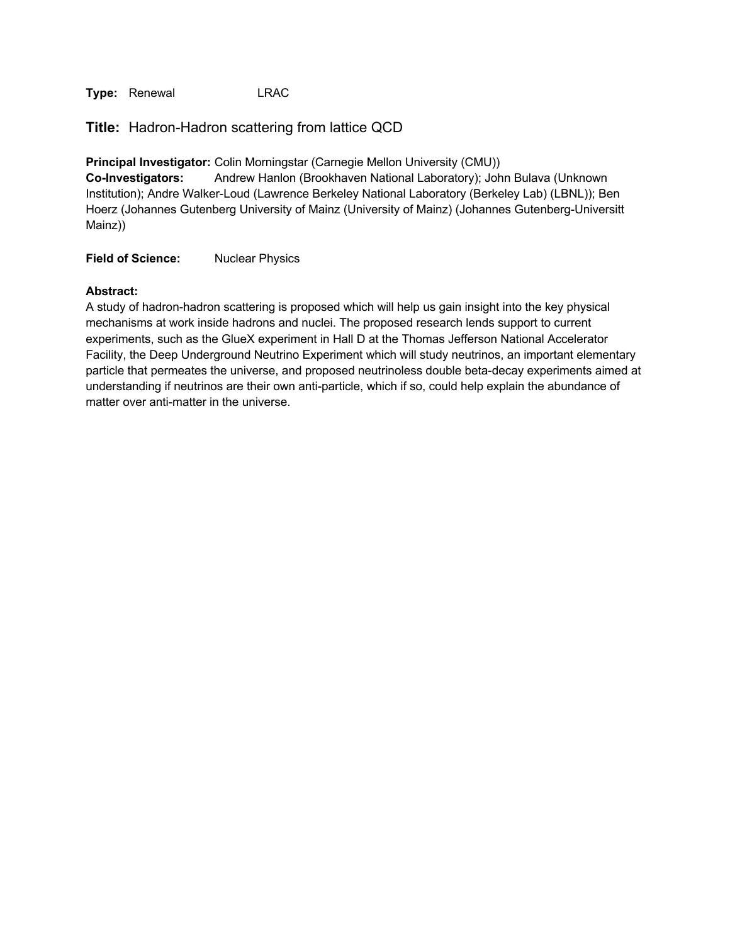**Title:** Hadron-Hadron scattering from lattice QCD

**Principal Investigator:** Colin Morningstar (Carnegie Mellon University (CMU)) **Co-Investigators:** Andrew Hanlon (Brookhaven National Laboratory); John Bulava (Unknown Institution); Andre Walker-Loud (Lawrence Berkeley National Laboratory (Berkeley Lab) (LBNL)); Ben Hoerz (Johannes Gutenberg University of Mainz (University of Mainz) (Johannes Gutenberg-Universitt Mainz))

**Field of Science:** Nuclear Physics

#### **Abstract:**

A study of hadron-hadron scattering is proposed which will help us gain insight into the key physical mechanisms at work inside hadrons and nuclei. The proposed research lends support to current experiments, such as the GlueX experiment in Hall D at the Thomas Jefferson National Accelerator Facility, the Deep Underground Neutrino Experiment which will study neutrinos, an important elementary particle that permeates the universe, and proposed neutrinoless double beta-decay experiments aimed at understanding if neutrinos are their own anti-particle, which if so, could help explain the abundance of matter over anti-matter in the universe.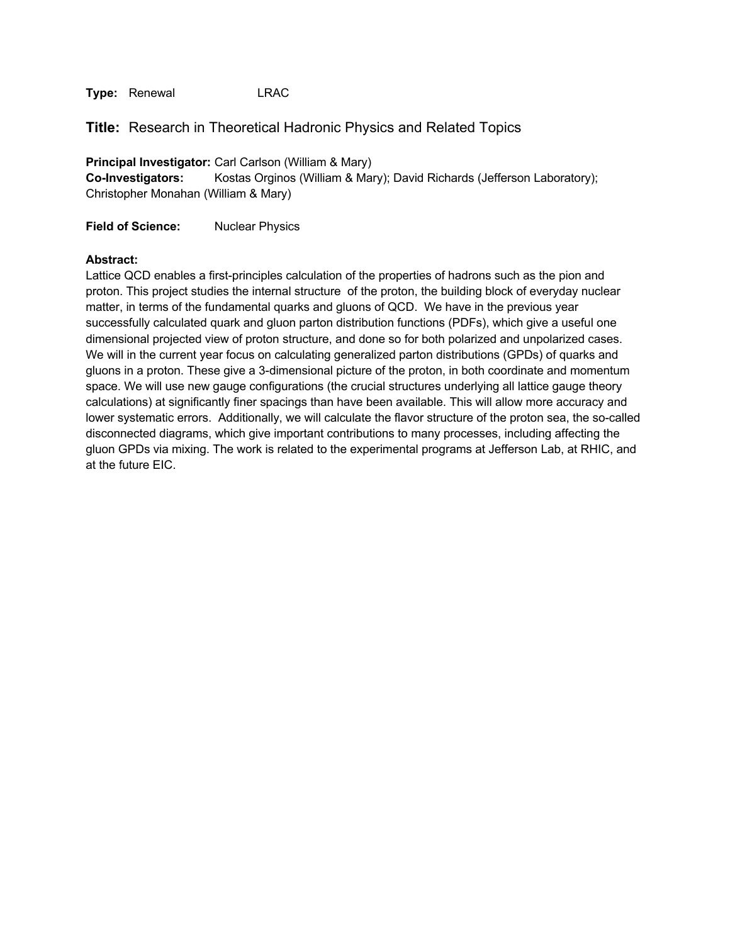**Title:** Research in Theoretical Hadronic Physics and Related Topics

**Principal Investigator:** Carl Carlson (William & Mary) **Co-Investigators:** Kostas Orginos (William & Mary); David Richards (Jefferson Laboratory); Christopher Monahan (William & Mary)

**Field of Science:** Nuclear Physics

#### **Abstract:**

Lattice QCD enables a first-principles calculation of the properties of hadrons such as the pion and proton. This project studies the internal structure of the proton, the building block of everyday nuclear matter, in terms of the fundamental quarks and gluons of QCD. We have in the previous year successfully calculated quark and gluon parton distribution functions (PDFs), which give a useful one dimensional projected view of proton structure, and done so for both polarized and unpolarized cases. We will in the current year focus on calculating generalized parton distributions (GPDs) of quarks and gluons in a proton. These give a 3-dimensional picture of the proton, in both coordinate and momentum space. We will use new gauge configurations (the crucial structures underlying all lattice gauge theory calculations) at significantly finer spacings than have been available. This will allow more accuracy and lower systematic errors. Additionally, we will calculate the flavor structure of the proton sea, the so-called disconnected diagrams, which give important contributions to many processes, including affecting the gluon GPDs via mixing. The work is related to the experimental programs at Jefferson Lab, at RHIC, and at the future EIC.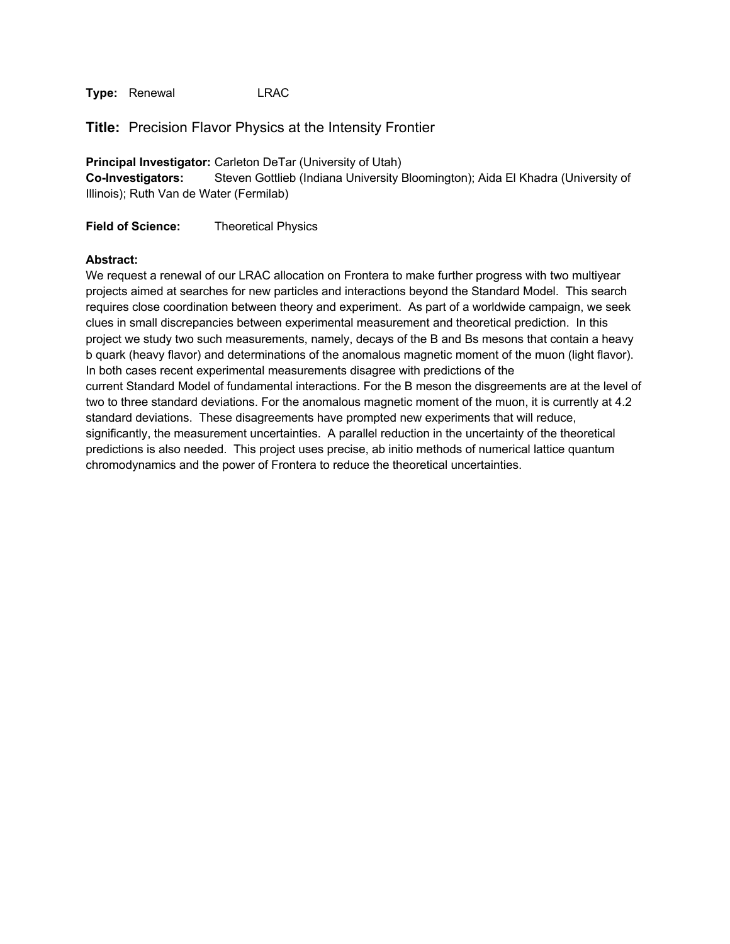**Title:** Precision Flavor Physics at the Intensity Frontier

**Principal Investigator:** Carleton DeTar (University of Utah) **Co-Investigators:** Steven Gottlieb (Indiana University Bloomington); Aida El Khadra (University of Illinois); Ruth Van de Water (Fermilab)

**Field of Science:** Theoretical Physics

#### **Abstract:**

We request a renewal of our LRAC allocation on Frontera to make further progress with two multiyear projects aimed at searches for new particles and interactions beyond the Standard Model. This search requires close coordination between theory and experiment. As part of a worldwide campaign, we seek clues in small discrepancies between experimental measurement and theoretical prediction. In this project we study two such measurements, namely, decays of the B and Bs mesons that contain a heavy b quark (heavy flavor) and determinations of the anomalous magnetic moment of the muon (light flavor). In both cases recent experimental measurements disagree with predictions of the current Standard Model of fundamental interactions. For the B meson the disgreements are at the level of two to three standard deviations. For the anomalous magnetic moment of the muon, it is currently at 4.2 standard deviations. These disagreements have prompted new experiments that will reduce, significantly, the measurement uncertainties. A parallel reduction in the uncertainty of the theoretical predictions is also needed. This project uses precise, ab initio methods of numerical lattice quantum chromodynamics and the power of Frontera to reduce the theoretical uncertainties.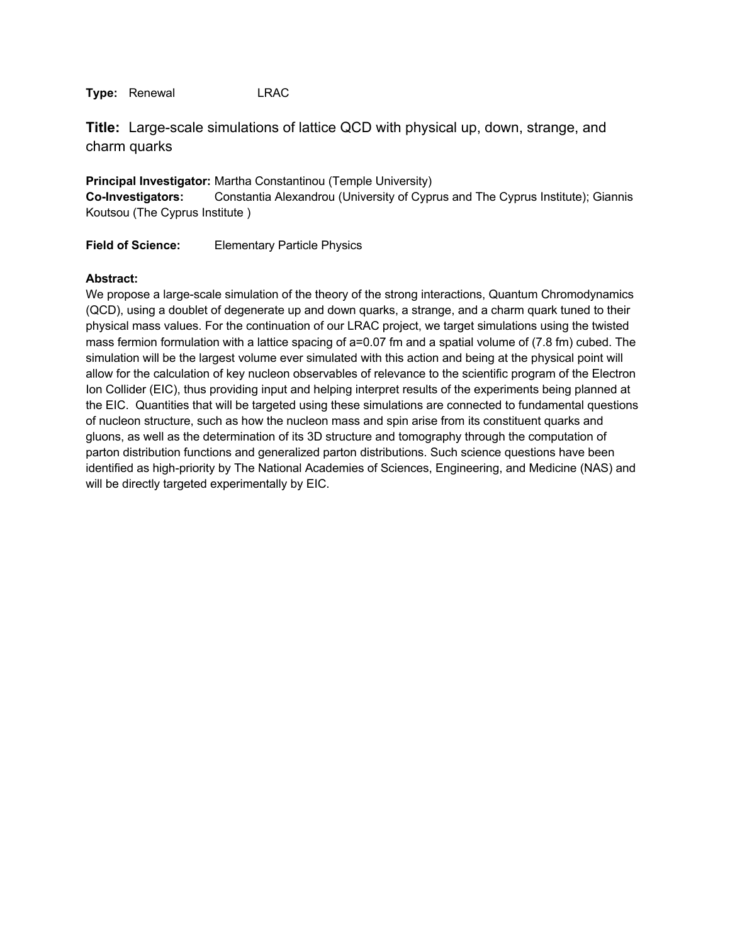**Title:** Large-scale simulations of lattice QCD with physical up, down, strange, and charm quarks

**Principal Investigator:** Martha Constantinou (Temple University) **Co-Investigators:** Constantia Alexandrou (University of Cyprus and The Cyprus Institute); Giannis Koutsou (The Cyprus Institute )

**Field of Science:** Elementary Particle Physics

## **Abstract:**

We propose a large-scale simulation of the theory of the strong interactions, Quantum Chromodynamics (QCD), using a doublet of degenerate up and down quarks, a strange, and a charm quark tuned to their physical mass values. For the continuation of our LRAC project, we target simulations using the twisted mass fermion formulation with a lattice spacing of a=0.07 fm and a spatial volume of (7.8 fm) cubed. The simulation will be the largest volume ever simulated with this action and being at the physical point will allow for the calculation of key nucleon observables of relevance to the scientific program of the Electron Ion Collider (EIC), thus providing input and helping interpret results of the experiments being planned at the EIC. Quantities that will be targeted using these simulations are connected to fundamental questions of nucleon structure, such as how the nucleon mass and spin arise from its constituent quarks and gluons, as well as the determination of its 3D structure and tomography through the computation of parton distribution functions and generalized parton distributions. Such science questions have been identified as high-priority by The National Academies of Sciences, Engineering, and Medicine (NAS) and will be directly targeted experimentally by EIC.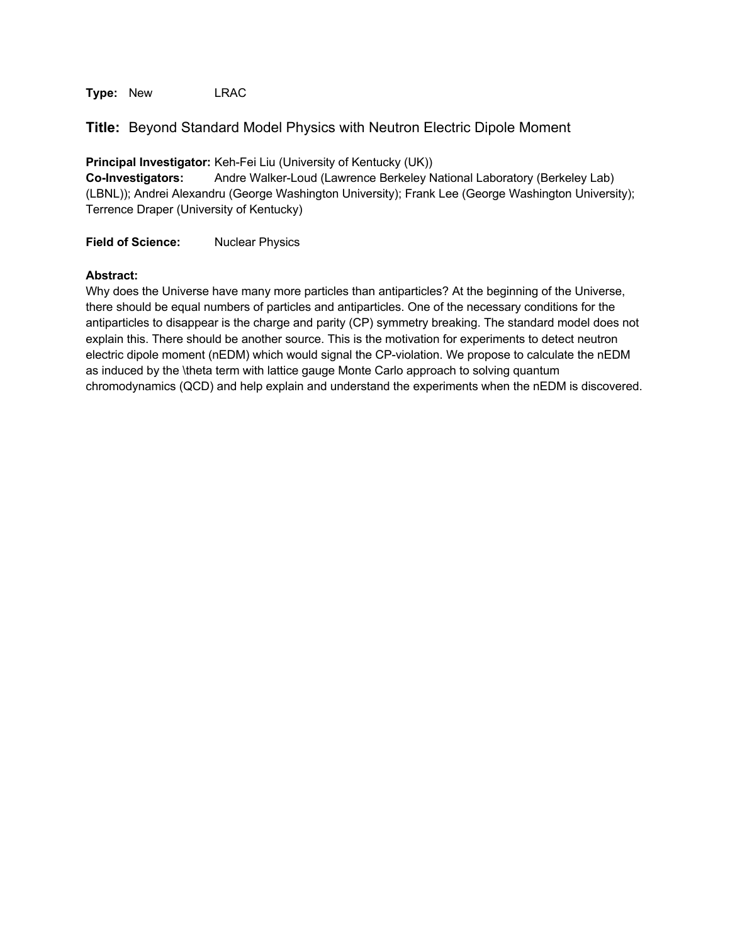**Type:** New LRAC

## **Title:** Beyond Standard Model Physics with Neutron Electric Dipole Moment

**Principal Investigator:** Keh-Fei Liu (University of Kentucky (UK))

**Co-Investigators:** Andre Walker-Loud (Lawrence Berkeley National Laboratory (Berkeley Lab) (LBNL)); Andrei Alexandru (George Washington University); Frank Lee (George Washington University); Terrence Draper (University of Kentucky)

**Field of Science:** Nuclear Physics

## **Abstract:**

Why does the Universe have many more particles than antiparticles? At the beginning of the Universe, there should be equal numbers of particles and antiparticles. One of the necessary conditions for the antiparticles to disappear is the charge and parity (CP) symmetry breaking. The standard model does not explain this. There should be another source. This is the motivation for experiments to detect neutron electric dipole moment (nEDM) which would signal the CP-violation. We propose to calculate the nEDM as induced by the \theta term with lattice gauge Monte Carlo approach to solving quantum chromodynamics (QCD) and help explain and understand the experiments when the nEDM is discovered.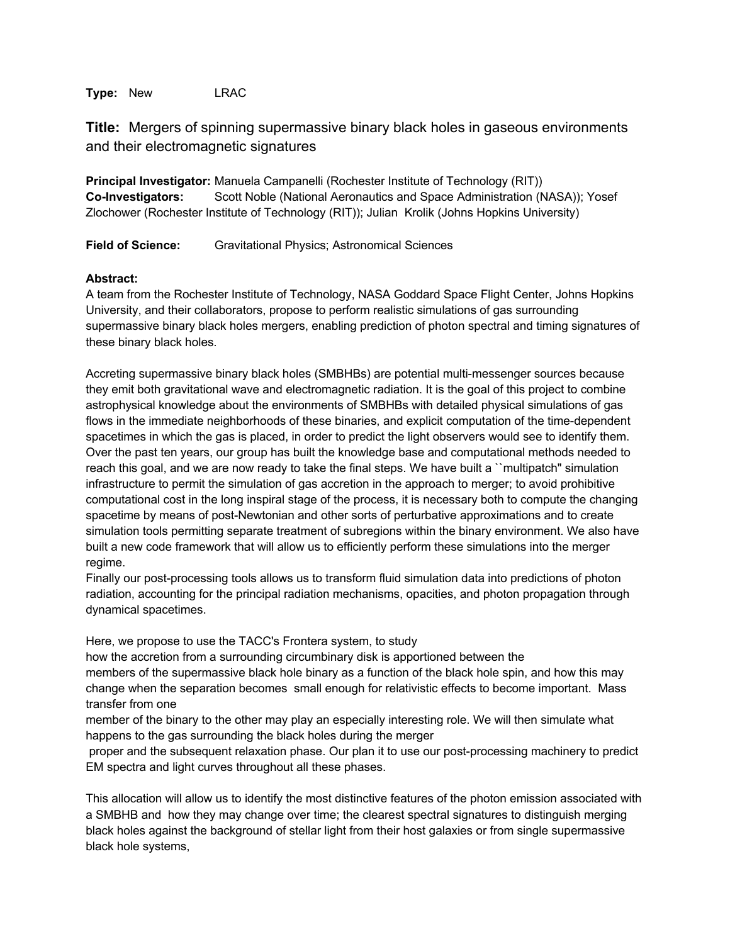**Type:** New LRAC

**Title:** Mergers of spinning supermassive binary black holes in gaseous environments and their electromagnetic signatures

**Principal Investigator:** Manuela Campanelli (Rochester Institute of Technology (RIT)) **Co-Investigators:** Scott Noble (National Aeronautics and Space Administration (NASA)); Yosef Zlochower (Rochester Institute of Technology (RIT)); Julian Krolik (Johns Hopkins University)

**Field of Science:** Gravitational Physics; Astronomical Sciences

## **Abstract:**

A team from the Rochester Institute of Technology, NASA Goddard Space Flight Center, Johns Hopkins University, and their collaborators, propose to perform realistic simulations of gas surrounding supermassive binary black holes mergers, enabling prediction of photon spectral and timing signatures of these binary black holes.

Accreting supermassive binary black holes (SMBHBs) are potential multi-messenger sources because they emit both gravitational wave and electromagnetic radiation. It is the goal of this project to combine astrophysical knowledge about the environments of SMBHBs with detailed physical simulations of gas flows in the immediate neighborhoods of these binaries, and explicit computation of the time-dependent spacetimes in which the gas is placed, in order to predict the light observers would see to identify them. Over the past ten years, our group has built the knowledge base and computational methods needed to reach this goal, and we are now ready to take the final steps. We have built a ``multipatch" simulation infrastructure to permit the simulation of gas accretion in the approach to merger; to avoid prohibitive computational cost in the long inspiral stage of the process, it is necessary both to compute the changing spacetime by means of post-Newtonian and other sorts of perturbative approximations and to create simulation tools permitting separate treatment of subregions within the binary environment. We also have built a new code framework that will allow us to efficiently perform these simulations into the merger regime.

Finally our post-processing tools allows us to transform fluid simulation data into predictions of photon radiation, accounting for the principal radiation mechanisms, opacities, and photon propagation through dynamical spacetimes.

Here, we propose to use the TACC's Frontera system, to study

how the accretion from a surrounding circumbinary disk is apportioned between the members of the supermassive black hole binary as a function of the black hole spin, and how this may change when the separation becomes small enough for relativistic effects to become important. Mass transfer from one

member of the binary to the other may play an especially interesting role. We will then simulate what happens to the gas surrounding the black holes during the merger

proper and the subsequent relaxation phase. Our plan it to use our post-processing machinery to predict EM spectra and light curves throughout all these phases.

This allocation will allow us to identify the most distinctive features of the photon emission associated with a SMBHB and how they may change over time; the clearest spectral signatures to distinguish merging black holes against the background of stellar light from their host galaxies or from single supermassive black hole systems,